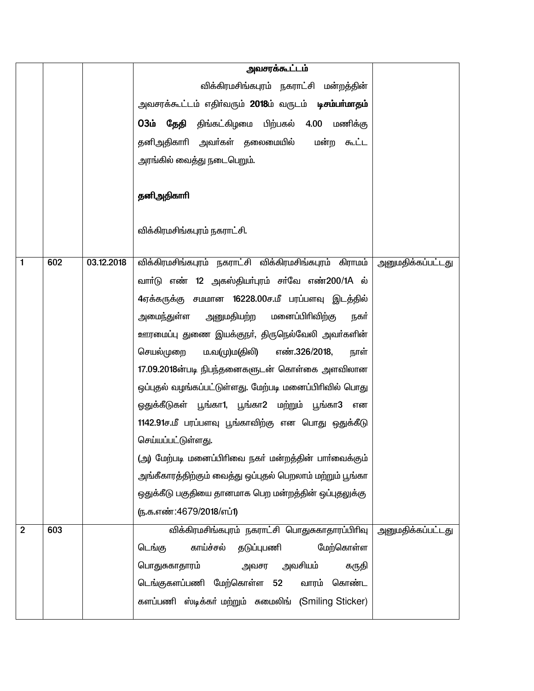|                |     |            | அவசரக்கூட்டம்                                                       |                          |
|----------------|-----|------------|---------------------------------------------------------------------|--------------------------|
|                |     |            | விக்கிரமசிங்கபுரம் நகராட்சி மன்றத்தின்                              |                          |
|                |     |            | அவசரக்கூட்டம் எதிா்வரும் <b>2018</b> ம் வருடம் <b>டிசம்பா்மாதம்</b> |                          |
|                |     |            | 03ம் தேதி திங்கட்கிழமை பிற்பகல் 4.00 மணிக்கு                        |                          |
|                |     |            | தனிஅதிகாாி அவா்கள் தலைமையில்<br>மன்ற கூட்ட                          |                          |
|                |     |            | அரங்கில் வைத்து நடைபெறும்.                                          |                          |
|                |     |            |                                                                     |                          |
|                |     |            | தனிஅதிகாரி                                                          |                          |
|                |     |            |                                                                     |                          |
|                |     |            | விக்கிரமசிங்கபுரம் நகராட்சி.                                        |                          |
|                |     |            |                                                                     |                          |
| 1              | 602 | 03.12.2018 | விக்கிரமசிங்கபுரம் நகராட்சி விக்கிரமசிங்கபுரம் கிராமம்              | <u>அனுமதிக்கப்பட்டது</u> |
|                |     |            | வாா்டு எண் 12 அகஸ்தியா்புரம் சா்வே எண்200/1A ல்                     |                          |
|                |     |            | 4ஏக்கருக்கு சமமான 16228.00ச.மீ பரப்பளவு இடத்தில்                    |                          |
|                |     |            | அனுமதியற்ற<br>மனைப்பிரிவிற்கு<br>அமைந்துள்ள<br>நகர்                 |                          |
|                |     |            | ஊரமைப்பு துணை இயக்குநா், திருநெல்வேலி அவா்களின்                     |                          |
|                |     |            | செயல்முறை<br>ம.வ(மு)ம(திலி) எண்.326/2018,<br>நாள்                   |                          |
|                |     |            | 17.09.2018ன்படி நிபந்தனைகளுடன் கொள்கை அளவிலான                       |                          |
|                |     |            | ஒப்புதல் வழங்கப்பட்டுள்ளது. மேற்படி மனைப்பிரிவில் பொது              |                          |
|                |     |            | ஒதுக்கீடுகள் பூங்கா1, பூங்கா2 மற்றும் பூங்கா3<br>என                 |                          |
|                |     |            | 1142.91ச.மீ பரப்பளவு பூங்காவிற்கு என பொது ஒதுக்கீடு                 |                          |
|                |     |            | செய்யப்பட்டுள்ளது.                                                  |                          |
|                |     |            | (அ) மேற்படி மனைப்பிரிவை நகர் மன்றத்தின் பார்வைக்கும்                |                          |
|                |     |            | அங்கீகாரத்திற்கும் வைத்து ஒப்புதல் பெறலாம் மற்றும் பூங்கா           |                          |
|                |     |            | ஒதுக்கீடு பகுதியை தானமாக பெற மன்றத்தின் ஒப்புதலுக்கு                |                          |
|                |     |            | (ந.க.எண்:4679/2018/எப்1)                                            |                          |
| $\overline{2}$ | 603 |            | விக்கிரமசிங்கபுரம் நகராட்சி பொதுசுகாதாரப்பிரிவு                     | அனுமதிக்கப்பட்டது        |
|                |     |            | காய்ச்சல்<br>தடுப்புபணி<br>மேற்கொள்ள<br>டெங்கு                      |                          |
|                |     |            | அவசர அவசியம்<br>பொதுசுகாதாரம்<br>கருதி                              |                          |
|                |     |            | டெங்குகளப்பணி மேற்கொள்ள 52<br>வாரம் கொண்ட                           |                          |
|                |     |            | களப்பணி ஸ்டிக்கர் மற்றும் சுமைலிங் (Smiling Sticker)                |                          |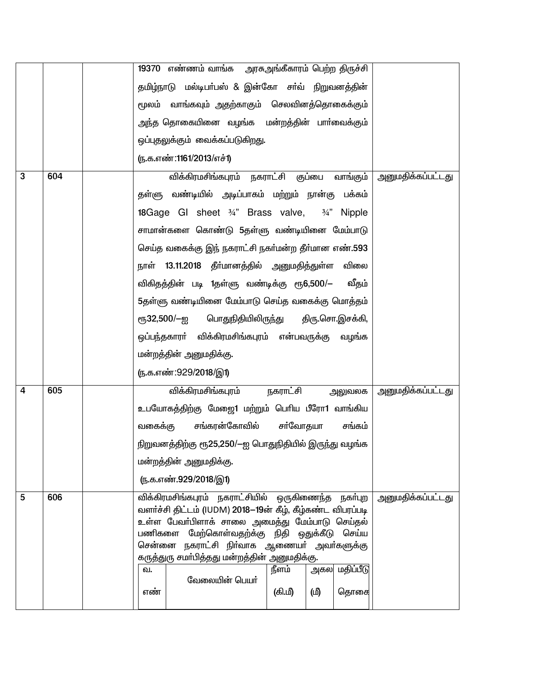|              |     |         | 19370 எண்ணம் வாங்க அரசுஅங்கீகாரம் பெற்ற திருச்சி                                                             |                        |    |               |                          |
|--------------|-----|---------|--------------------------------------------------------------------------------------------------------------|------------------------|----|---------------|--------------------------|
|              |     |         | தமிழ்நாடு மல்டிபா்பஸ் & இன்கோ சா்வ் நிறுவனத்தின்                                                             |                        |    |               |                          |
|              |     |         | மூலம் வாங்கவும் அதற்காகும் செலவினத்தொகைக்கும்                                                                |                        |    |               |                          |
|              |     |         | அந்த தொகையினை வழங்க மன்றத்தின் பாா்வைக்கும்                                                                  |                        |    |               |                          |
|              |     |         | ஒப்புதலுக்கும் வைக்கப்படுகிறது.                                                                              |                        |    |               |                          |
|              |     |         | (ந.க.எண்:1161/2013/எச்1)                                                                                     |                        |    |               |                          |
| $\mathbf{3}$ | 604 |         | விக்கிரமசிங்கபுரம் நகராட்சி குப்பை வாங்கும்                                                                  |                        |    |               | <u>அனுமதிக்கப்பட்டது</u> |
|              |     |         | தள்ளு வண்டியில் அடிப்பாகம் மற்றும் நான்கு பக்கம்                                                             |                        |    |               |                          |
|              |     |         | 18 Gage GI sheet $\frac{3}{4}$ " Brass valve,                                                                |                        |    | 3/4" Nipple   |                          |
|              |     |         | சாமான்களை கொண்டு 5தள்ளு வண்டியினை மேம்பாடு                                                                   |                        |    |               |                          |
|              |     |         | செய்த வகைக்கு இந் நகராட்சி நகர்மன்ற தீர்மான எண்.593                                                          |                        |    |               |                          |
|              |     |         | நாள் 13.11.2018 தீா்மானத்தில் அனுமதித்துள்ள                                                                  |                        |    | விலை          |                          |
|              |     |         | விகிதத்தின் படி 1தள்ளு வண்டிக்கு ரூ6,500/—                                                                   |                        |    | வீதம்         |                          |
|              |     |         | 5தள்ளு வண்டியினை மேம்பாடு செய்த வகைக்கு மொத்தம்                                                              |                        |    |               |                          |
|              |     |         | ரூ32,500/ $-$ ஐ பொதுநிதியிலிருந்து திரு.சொ.இசக்கி,                                                           |                        |    |               |                          |
|              |     |         | ஒப்பந்தகாரா் விக்கிரமசிங்கபுரம் என்பவருக்கு வழங்க                                                            |                        |    |               |                          |
|              |     |         | மன்றத்தின் அனுமதிக்கு.                                                                                       |                        |    |               |                          |
|              |     |         | (ந.க.எண்:929/2018/இ1)                                                                                        |                        |    |               |                          |
| 4            | 605 |         | விக்கிரமசிங்கபுரம்                                                                                           | <u>நகராட்சி</u> அலுவலக |    |               | <u>அனுமதிக்கப்பட்டது</u> |
|              |     |         | உபயோகத்திற்கு மேஜை1 மற்றும் பெரிய பீரோ1 வாங்கிய                                                              |                        |    |               |                          |
|              |     | வகைக்கு | சங்கரன்கோவில்                                                                                                | சர்வோதயா               |    | சங்கம்        |                          |
|              |     |         | நிறுவனத்திற்கு ரூ25,250/-ஐ பொதுநிதியில் இருந்து வழங்க                                                        |                        |    |               |                          |
|              |     |         | மன்றத்தின் அனுமதிக்கு.                                                                                       |                        |    |               |                          |
|              |     |         | <u>ரு.க.எண்.929/2018/இ1)</u>                                                                                 |                        |    |               |                          |
| 5            | 606 |         | விக்கிரமசிங்கபுரம் நகராட்சியில் ஒருகிணைந்த                                                                   |                        |    | நகர்புற       | அனுமதிக்கப்பட்டது        |
|              |     |         | வளர்ச்சி திட்டம் (IUDM) 2018-19ன் கீழ், கீழ்கண்ட விபரப்படி<br>உள்ள பேவா்பிளாக் சாலை அமைத்து மேம்பாடு செய்தல் |                        |    |               |                          |
|              |     |         | பணிகளை மேற்கொள்வதற்க்கு நிதி ஒதுக்கீடு செய்ய                                                                 |                        |    |               |                          |
|              |     |         | சென்னை நகராட்சி நிா்வாக ஆணையா் அவா்களுக்கு<br>கருத்துரு சமா்பித்தது மன்றத்தின் அனுமதிக்கு.                   |                        |    |               |                          |
|              |     | வ.      |                                                                                                              | நீளம்                  |    | அகல மதிப்பீடு |                          |
|              |     | எண்     | வேலையின் பெயர்                                                                                               | (கி.மீ)                | மி | தொகை          |                          |
|              |     |         |                                                                                                              |                        |    |               |                          |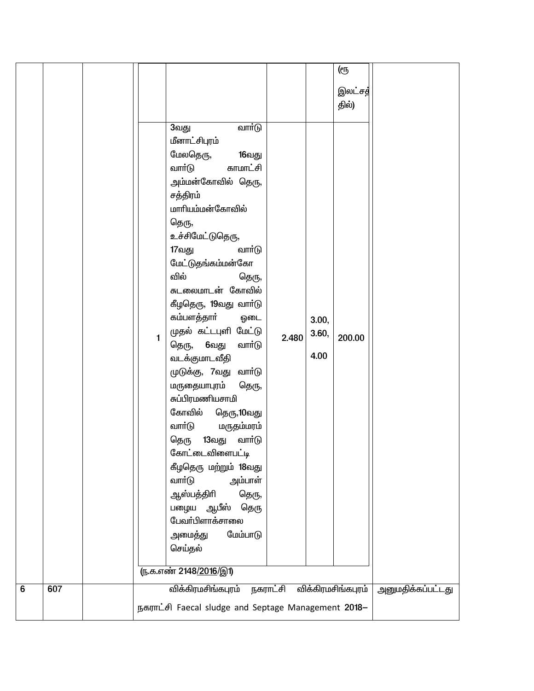|   |     |                                                     |                                                                                                                                                                                                                                                                                                                                                                                                                                                           |                 |                        | (ரூ                |                          |  |  |  |
|---|-----|-----------------------------------------------------|-----------------------------------------------------------------------------------------------------------------------------------------------------------------------------------------------------------------------------------------------------------------------------------------------------------------------------------------------------------------------------------------------------------------------------------------------------------|-----------------|------------------------|--------------------|--------------------------|--|--|--|
|   |     |                                                     |                                                                                                                                                                                                                                                                                                                                                                                                                                                           |                 |                        | இலட்சத்            |                          |  |  |  |
|   |     |                                                     |                                                                                                                                                                                                                                                                                                                                                                                                                                                           |                 |                        |                    |                          |  |  |  |
|   |     | $\mathbf{1}$                                        | வார்டு<br>3வது<br>மீனாட்சிபுரம்<br>மேலதெரு,<br>16வது<br>வாா்டு<br>காமாட்சி<br>அம்மன்கோவில் தெரு,<br>சத்திரம்<br>மாரியம்மன்கோவில்<br>தெரு,<br>உச்சிமேட்டுதெரு,<br>வாா்டு<br>17வது<br>மேட்டுதங்கம்மன்கோ<br>வில்<br>தெரு,<br>சுடலைமாடன் கோவில்<br>கீழதெரு, 19வது வார்டு<br>கம்பளத்தாா்<br>ஒடை<br>முதல் கட்டபுளி மேட்டு<br>தெரு, 6வது<br>வார்டு<br>வடக்குமாடவீதி<br>முடுக்கு, 7வது வாா்டு<br>மருதையாபுரம்<br>தெரு,<br>சுப்பிரமணியசாமி<br>கோவில்<br>தெரு,10வது | 2.480           | 3.00,<br>3.60,<br>4.00 | தில்)<br>200.00    |                          |  |  |  |
|   |     |                                                     | வாா்டு<br>மருதம்மரம்<br>13வது<br>வாா்டு<br>தெரு<br>கோட்டைவிளைபட்டி<br>கீழதெரு மற்றும் 18வது<br>வாா்டு<br>அம்பாள்                                                                                                                                                                                                                                                                                                                                          |                 |                        |                    |                          |  |  |  |
|   |     |                                                     | ஆஸ்பத்திரி<br>தெரு,<br>பழைய ஆபீஸ்<br>தெரு<br>பேவா்பிளாக்சாலை<br>மேம்பாடு<br>அமைத்து<br>செய்தல்                                                                                                                                                                                                                                                                                                                                                            |                 |                        |                    |                          |  |  |  |
|   |     |                                                     |                                                                                                                                                                                                                                                                                                                                                                                                                                                           |                 |                        |                    |                          |  |  |  |
|   |     |                                                     | (ந.க.எண் 2148/2016/இ1)                                                                                                                                                                                                                                                                                                                                                                                                                                    |                 |                        |                    |                          |  |  |  |
| 6 | 607 |                                                     | விக்கிரமசிங்கபுரம்                                                                                                                                                                                                                                                                                                                                                                                                                                        | <u>நகராட்சி</u> |                        | விக்கிரமசிங்கபுரம் | <u>அனுமதிக்கப்பட்டது</u> |  |  |  |
|   |     | நகராட்சி Faecal sludge and Septage Management 2018- |                                                                                                                                                                                                                                                                                                                                                                                                                                                           |                 |                        |                    |                          |  |  |  |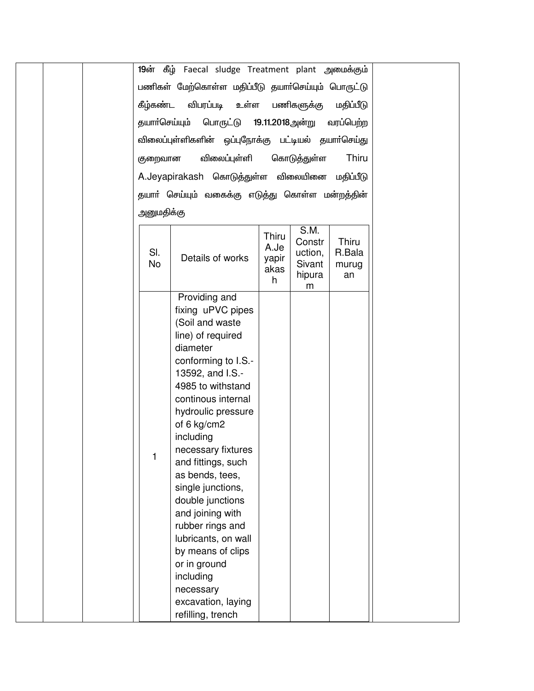| 19ன் கீழ் Faecal sludge Treatment plant அமைக்கும்                                                                                                                                                                                                                                                                                                                                    |
|--------------------------------------------------------------------------------------------------------------------------------------------------------------------------------------------------------------------------------------------------------------------------------------------------------------------------------------------------------------------------------------|
| பணிகள் மேற்கொள்ள மதிப்பீடு தயாா்செய்யும் பொருட்டு                                                                                                                                                                                                                                                                                                                                    |
| கீழ்கண்ட<br>விபரப்படி உள்ள<br>பணிகளுக்கு<br>மதிப்பீடு                                                                                                                                                                                                                                                                                                                                |
|                                                                                                                                                                                                                                                                                                                                                                                      |
| தயாா்செய்யும்<br>பொருட்டு 19.11.2018அன்று<br>வரப்பெற்ற                                                                                                                                                                                                                                                                                                                               |
| விலைப்புள்ளிகளின் ஒப்புநோக்கு பட்டியல் தயாா்செய்து                                                                                                                                                                                                                                                                                                                                   |
| விலைப்புள்ளி<br>கொடுத்துள்ள<br>Thiru<br>குறைவான                                                                                                                                                                                                                                                                                                                                      |
| A.Jeyapirakash கொடுத்துள்ள விலையினை மதிப்பீடு                                                                                                                                                                                                                                                                                                                                        |
| தயாா் செய்யும் வகைக்கு எடுத்து கொள்ள மன்றத்தின்                                                                                                                                                                                                                                                                                                                                      |
| அனுமதிக்கு                                                                                                                                                                                                                                                                                                                                                                           |
| S.M.                                                                                                                                                                                                                                                                                                                                                                                 |
| Thiru<br>Thiru<br>Constr<br>A.Je<br>SI.<br>R.Bala<br>uction,<br>Details of works<br>yapir<br><b>No</b><br>Sivant<br>murug<br>akas<br>hipura<br>an<br>h<br>m                                                                                                                                                                                                                          |
| Providing and                                                                                                                                                                                                                                                                                                                                                                        |
| fixing uPVC pipes<br>(Soil and waste<br>line) of required<br>diameter<br>conforming to I.S.-<br>13592, and I.S.-<br>4985 to withstand<br>continous internal<br>hydroulic pressure<br>of 6 kg/cm2<br>including<br>necessary fixtures<br>and fittings, such<br>as bends, tees,<br>single junctions,<br>double junctions<br>and joining with<br>rubber rings and<br>lubricants, on wall |
| by means of clips<br>or in ground<br>including<br>necessary<br>excavation, laying<br>refilling, trench                                                                                                                                                                                                                                                                               |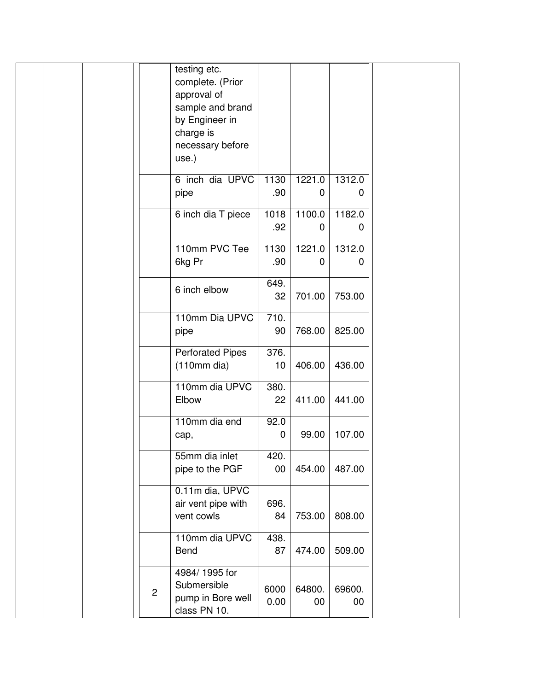|              | testing etc.<br>complete. (Prior<br>approval of<br>sample and brand<br>by Engineer in<br>charge is<br>necessary before<br>use.) |                |                       |                        |  |
|--------------|---------------------------------------------------------------------------------------------------------------------------------|----------------|-----------------------|------------------------|--|
|              | 6 inch dia UPVC<br>pipe                                                                                                         | 1130<br>.90    | 1221.0<br>$\mathbf 0$ | 1312.0<br>0            |  |
|              | 6 inch dia T piece                                                                                                              | 1018<br>.92    | 1100.0<br>0           | 1182.0<br>0            |  |
|              | 110mm PVC Tee<br>6kg Pr                                                                                                         | 1130<br>.90    | 1221.0<br>0           | 1312.0<br>$\mathbf{0}$ |  |
|              | 6 inch elbow                                                                                                                    | 649.<br>32     | 701.00                | 753.00                 |  |
|              | 110mm Dia UPVC<br>pipe                                                                                                          | 710.<br>90     | 768.00                | 825.00                 |  |
|              | <b>Perforated Pipes</b><br>$(110mm)$ dia)                                                                                       | 376.<br>10     | 406.00                | 436.00                 |  |
|              | 110mm dia UPVC<br>Elbow                                                                                                         | 380.<br>22     | 411.00                | 441.00                 |  |
|              | 110mm dia end<br>cap,                                                                                                           | 92.0<br>0      | 99.00                 | 107.00                 |  |
|              | 55mm dia inlet<br>pipe to the PGF                                                                                               | 420.<br>$00\,$ | 454.00                | 487.00                 |  |
|              | 0.11m dia, UPVC<br>air vent pipe with<br>vent cowls                                                                             | 696.<br>84     | 753.00                | 808.00                 |  |
|              | 110mm dia UPVC<br>Bend                                                                                                          | 438.<br>87     | 474.00                | 509.00                 |  |
| $\mathbf{2}$ | 4984/1995 for<br>Submersible<br>pump in Bore well<br>class PN 10.                                                               | 6000<br>0.00   | 64800.<br>00          | 69600.<br>00           |  |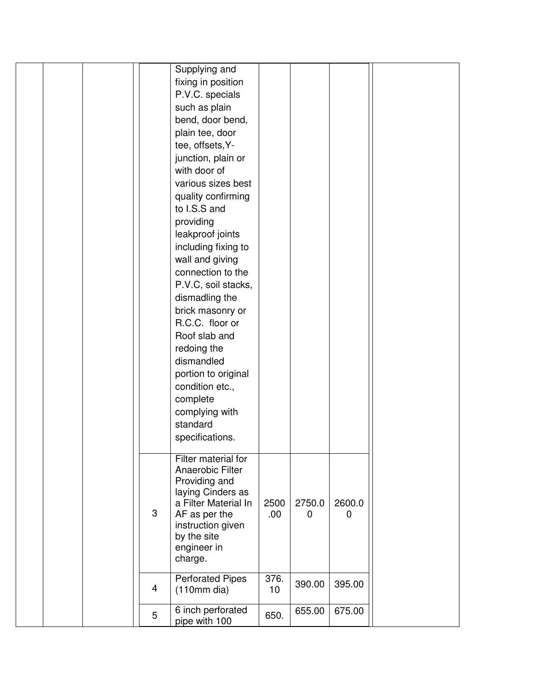|  |   | Supplying and                      |      |             |        |  |
|--|---|------------------------------------|------|-------------|--------|--|
|  |   | fixing in position                 |      |             |        |  |
|  |   | P.V.C. specials                    |      |             |        |  |
|  |   | such as plain                      |      |             |        |  |
|  |   | bend, door bend,                   |      |             |        |  |
|  |   | plain tee, door                    |      |             |        |  |
|  |   | tee, offsets, Y-                   |      |             |        |  |
|  |   |                                    |      |             |        |  |
|  |   | junction, plain or<br>with door of |      |             |        |  |
|  |   |                                    |      |             |        |  |
|  |   | various sizes best                 |      |             |        |  |
|  |   | quality confirming                 |      |             |        |  |
|  |   | to I.S.S and                       |      |             |        |  |
|  |   | providing                          |      |             |        |  |
|  |   | leakproof joints                   |      |             |        |  |
|  |   | including fixing to                |      |             |        |  |
|  |   | wall and giving                    |      |             |        |  |
|  |   | connection to the                  |      |             |        |  |
|  |   | P.V.C, soil stacks,                |      |             |        |  |
|  |   | dismadling the                     |      |             |        |  |
|  |   | brick masonry or                   |      |             |        |  |
|  |   | R.C.C. floor or                    |      |             |        |  |
|  |   | Roof slab and                      |      |             |        |  |
|  |   | redoing the                        |      |             |        |  |
|  |   | dismandled                         |      |             |        |  |
|  |   | portion to original                |      |             |        |  |
|  |   | condition etc.,                    |      |             |        |  |
|  |   | complete                           |      |             |        |  |
|  |   | complying with                     |      |             |        |  |
|  |   | standard                           |      |             |        |  |
|  |   | specifications.                    |      |             |        |  |
|  |   |                                    |      |             |        |  |
|  |   | Filter material for                |      |             |        |  |
|  |   | Anaerobic Filter                   |      |             |        |  |
|  |   | Providing and                      |      |             |        |  |
|  |   | laying Cinders as                  |      |             |        |  |
|  |   | a Filter Material In               | 2500 | 2750.0      | 2600.0 |  |
|  | 3 | AF as per the                      | 00.  | $\mathbf 0$ | 0      |  |
|  |   | instruction given<br>by the site   |      |             |        |  |
|  |   | engineer in                        |      |             |        |  |
|  |   | charge.                            |      |             |        |  |
|  |   |                                    |      |             |        |  |
|  |   | <b>Perforated Pipes</b>            | 376. | 390.00      | 395.00 |  |
|  | 4 | $(110mm)$ dia)                     | 10   |             |        |  |
|  |   | 6 inch perforated                  |      | 655.00      | 675.00 |  |
|  | 5 | pipe with 100                      | 650. |             |        |  |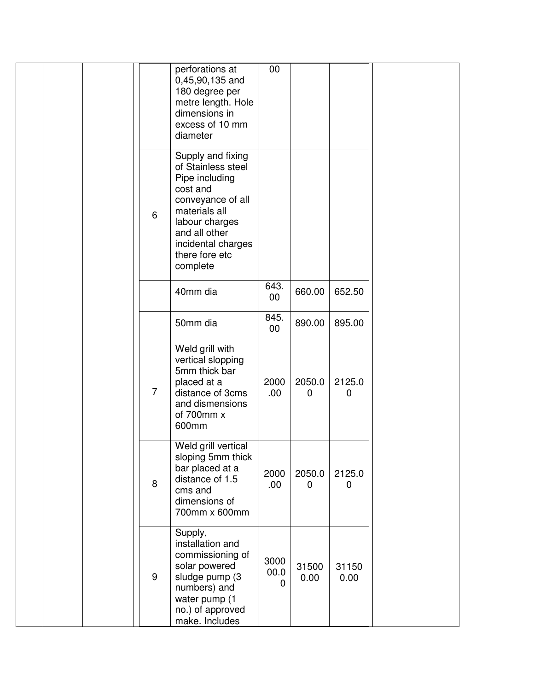|                | perforations at<br>0,45,90,135 and<br>180 degree per<br>metre length. Hole<br>dimensions in<br>excess of 10 mm<br>diameter                                                                         | 00                       |                       |                    |  |
|----------------|----------------------------------------------------------------------------------------------------------------------------------------------------------------------------------------------------|--------------------------|-----------------------|--------------------|--|
| 6              | Supply and fixing<br>of Stainless steel<br>Pipe including<br>cost and<br>conveyance of all<br>materials all<br>labour charges<br>and all other<br>incidental charges<br>there fore etc<br>complete |                          |                       |                    |  |
|                | 40mm dia                                                                                                                                                                                           | 643.<br>$00\,$           | 660.00                | 652.50             |  |
|                | 50mm dia                                                                                                                                                                                           | 845.<br>$00\,$           | 890.00                | 895.00             |  |
| $\overline{7}$ | Weld grill with<br>vertical slopping<br>5mm thick bar<br>placed at a<br>distance of 3cms<br>and dismensions<br>of 700mm x<br>600mm                                                                 | 2000<br>.00.             | 2050.0<br>$\mathbf 0$ | 2125.0<br>0        |  |
| 8              | Weld grill vertical<br>sloping 5mm thick<br>bar placed at a<br>distance of 1.5<br>cms and<br>dimensions of<br>700mm x 600mm                                                                        | 2000<br>.00              | 2050.0<br>0           | 2125.0<br>$\Omega$ |  |
| 9              | Supply,<br>installation and<br>commissioning of<br>solar powered<br>sludge pump (3<br>numbers) and<br>water pump (1<br>no.) of approved<br>make. Includes                                          | 3000<br>00.0<br>$\Omega$ | 31500<br>0.00         | 31150<br>0.00      |  |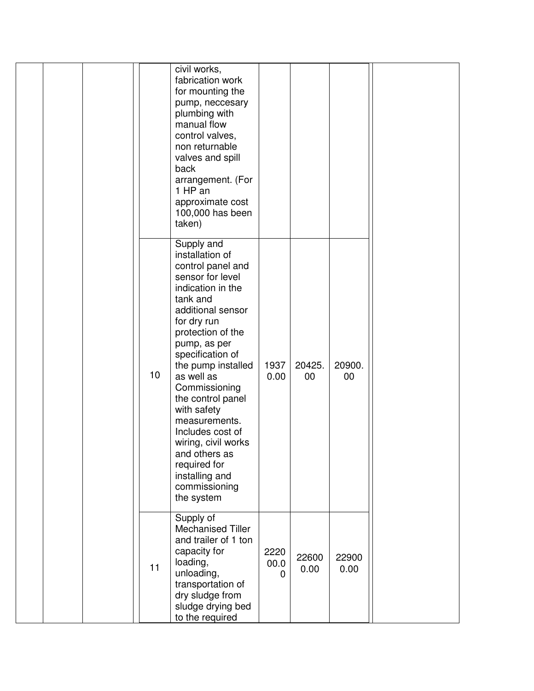|    | civil works,<br>fabrication work<br>for mounting the<br>pump, neccesary<br>plumbing with<br>manual flow<br>control valves,<br>non returnable<br>valves and spill<br>back<br>arrangement. (For<br>1 HP an<br>approximate cost<br>100,000 has been<br>taken)                                                                                                                                                                                  |                   |               |               |  |
|----|---------------------------------------------------------------------------------------------------------------------------------------------------------------------------------------------------------------------------------------------------------------------------------------------------------------------------------------------------------------------------------------------------------------------------------------------|-------------------|---------------|---------------|--|
| 10 | Supply and<br>installation of<br>control panel and<br>sensor for level<br>indication in the<br>tank and<br>additional sensor<br>for dry run<br>protection of the<br>pump, as per<br>specification of<br>the pump installed<br>as well as<br>Commissioning<br>the control panel<br>with safety<br>measurements.<br>Includes cost of<br>wiring, civil works<br>and others as<br>required for<br>installing and<br>commissioning<br>the system | 1937<br>0.00      | 20425.<br>00  | 20900.<br>00  |  |
| 11 | Supply of<br><b>Mechanised Tiller</b><br>and trailer of 1 ton<br>capacity for<br>loading,<br>unloading,<br>transportation of<br>dry sludge from<br>sludge drying bed<br>to the required                                                                                                                                                                                                                                                     | 2220<br>00.0<br>0 | 22600<br>0.00 | 22900<br>0.00 |  |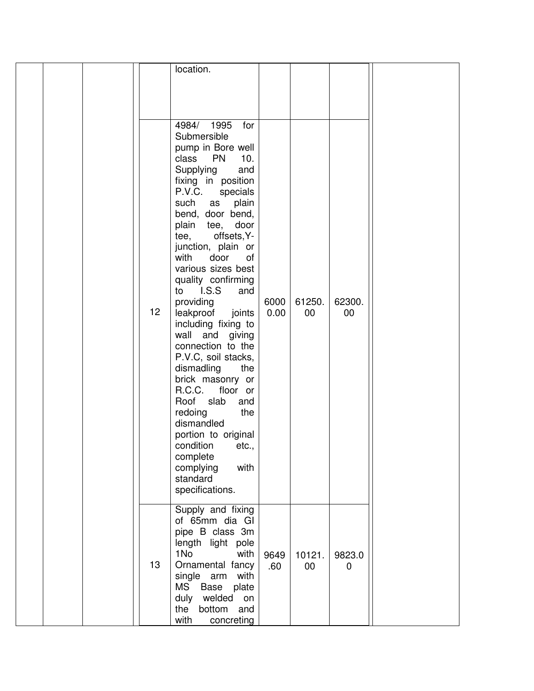|    | location.                                                                                                                                                                                                                                                                                                                                                                                                                                                                                                                                                                                                                                                                                               |              |              |                       |  |
|----|---------------------------------------------------------------------------------------------------------------------------------------------------------------------------------------------------------------------------------------------------------------------------------------------------------------------------------------------------------------------------------------------------------------------------------------------------------------------------------------------------------------------------------------------------------------------------------------------------------------------------------------------------------------------------------------------------------|--------------|--------------|-----------------------|--|
| 12 | 1995<br>4984/<br>for<br>Submersible<br>pump in Bore well<br>class PN<br>10.<br>Supplying<br>and<br>fixing in position<br>P.V.C.<br>specials<br>such<br>plain<br>as<br>bend, door bend,<br>plain tee,<br>door<br>tee, offsets, Y-<br>junction, plain or<br>with<br>door<br>of<br>various sizes best<br>quality confirming<br>LS.S<br>to<br>and<br>providing<br>leakproof<br>joints<br>including fixing to<br>wall and giving<br>connection to the<br>P.V.C, soil stacks,<br>dismadling<br>the<br>brick masonry or<br>R.C.C.<br>floor or<br>Roof slab<br>and<br>redoing<br>the<br>dismandled<br>portion to original<br>condition<br>etc.,<br>complete<br>with<br>complying<br>standard<br>specifications. | 6000<br>0.00 | 61250.<br>00 | 62300.<br>00          |  |
| 13 | Supply and fixing<br>of 65mm dia GI<br>pipe B class 3m<br>length light pole<br>1No<br>with<br>Ornamental fancy<br>single arm<br>with<br><b>MS</b><br>Base<br>plate<br>duly<br>welded<br>on<br>the<br>bottom<br>and<br>with<br>concreting                                                                                                                                                                                                                                                                                                                                                                                                                                                                | 9649<br>.60  | 10121.<br>00 | 9823.0<br>$\mathbf 0$ |  |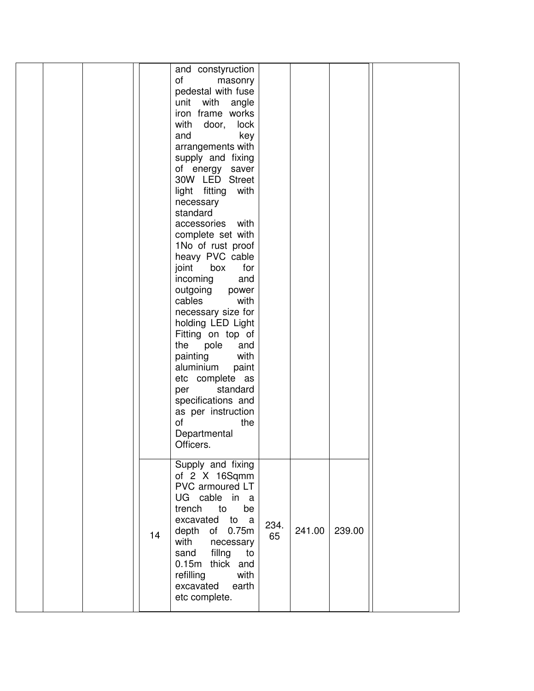|  |    | and constyruction<br>of<br>masonry<br>pedestal with fuse<br>unit<br>with angle<br>iron frame works<br>with<br>door,<br>lock<br>and<br>key<br>arrangements with<br>supply and fixing<br>of energy saver<br>30W LED Street<br>light fitting with<br>necessary<br>standard<br>with<br>accessories<br>complete set with<br>1No of rust proof<br>heavy PVC cable<br>joint<br>box<br>for<br>incoming<br>and<br>outgoing<br>power<br>cables<br>with<br>necessary size for<br>holding LED Light<br>Fitting on top of<br>the<br>pole<br>and<br>with<br>painting<br>aluminium<br>paint<br>etc complete as<br>standard<br>per<br>specifications and<br>as per instruction<br>of<br>the<br>Departmental<br>Officers. |            |        |        |  |
|--|----|----------------------------------------------------------------------------------------------------------------------------------------------------------------------------------------------------------------------------------------------------------------------------------------------------------------------------------------------------------------------------------------------------------------------------------------------------------------------------------------------------------------------------------------------------------------------------------------------------------------------------------------------------------------------------------------------------------|------------|--------|--------|--|
|  | 14 | Supply and fixing<br>of 2 X 16Sqmm<br>PVC armoured LT<br>UG cable in a<br>be<br>trench<br>to<br>excavated to a<br>depth of 0.75m<br>with<br>necessary<br>fillng<br>sand<br>to<br>0.15m thick and<br>refilling<br>with<br>excavated<br>earth<br>etc complete.                                                                                                                                                                                                                                                                                                                                                                                                                                             | 234.<br>65 | 241.00 | 239.00 |  |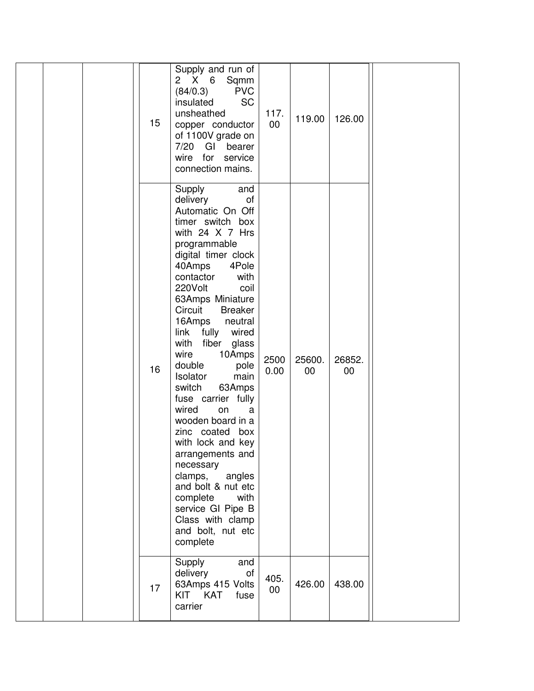| 15 | Supply and run of<br>2 X 6<br>Sqmm<br><b>PVC</b><br>(84/0.3)<br><b>SC</b><br>insulated<br>unsheathed<br>copper conductor<br>of 1100V grade on<br>7/20<br>GI<br>bearer<br>wire for service<br>connection mains.                                                                                                                                                                                                                                                                                                                                                                                                                                                                      | 117.<br>00     | 119.00       | 126.00       |  |
|----|-------------------------------------------------------------------------------------------------------------------------------------------------------------------------------------------------------------------------------------------------------------------------------------------------------------------------------------------------------------------------------------------------------------------------------------------------------------------------------------------------------------------------------------------------------------------------------------------------------------------------------------------------------------------------------------|----------------|--------------|--------------|--|
| 16 | Supply<br>and<br>of<br>delivery<br>Automatic On Off<br>timer switch box<br>with 24 X 7 Hrs<br>programmable<br>digital timer clock<br>40Amps<br>4Pole<br>contactor<br>with<br>220Volt<br>coil<br>63Amps Miniature<br>Circuit<br><b>Breaker</b><br>16Amps<br>neutral<br>link<br>fully<br>wired<br>with<br>fiber<br>glass<br>wire<br>10Amps<br>double<br>pole<br>Isolator<br>main<br>switch<br>63Amps<br>fuse carrier fully<br>wired<br>on<br>a<br>wooden board in a<br>zinc coated box<br>with lock and key<br>arrangements and<br>necessary<br>clamps,<br>angles<br>and bolt & nut etc<br>complete<br>with<br>service GI Pipe B<br>Class with clamp<br>and bolt, nut etc<br>complete | 2500<br>0.00   | 25600.<br>00 | 26852.<br>00 |  |
| 17 | Supply<br>and<br>of<br>delivery<br>63Amps 415 Volts<br>KIT KAT<br>fuse<br>carrier                                                                                                                                                                                                                                                                                                                                                                                                                                                                                                                                                                                                   | 405.<br>$00\,$ | 426.00       | 438.00       |  |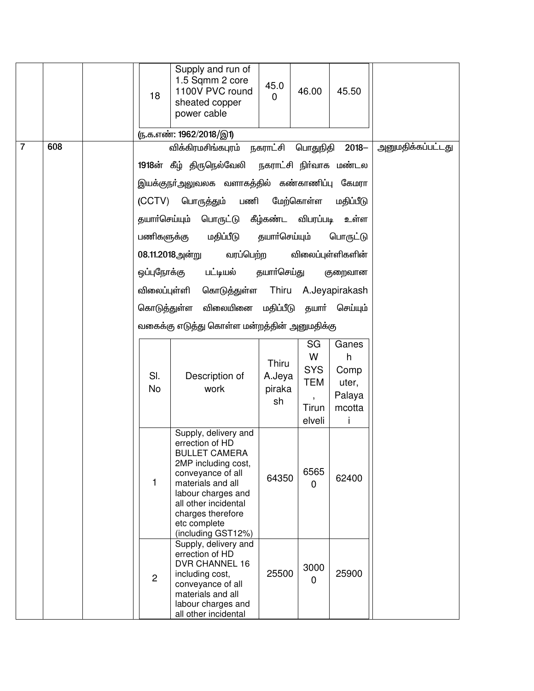|                |     |  | 18               | Supply and run of<br>1.5 Sqmm 2 core<br>1100V PVC round<br>sheated copper<br>power cable<br><u>ரு.க.எண்: 1962/2018/இ1)</u>                                                                                                                | 45.0<br>$\overline{0}$          | 46.00                                                                    | 45.50                                           |                          |
|----------------|-----|--|------------------|-------------------------------------------------------------------------------------------------------------------------------------------------------------------------------------------------------------------------------------------|---------------------------------|--------------------------------------------------------------------------|-------------------------------------------------|--------------------------|
| $\overline{7}$ | 608 |  |                  | விக்கிரமசிங்கபுரம் நகராட்சி பொதுநிதி 2018–                                                                                                                                                                                                |                                 |                                                                          |                                                 | <u>அனுமதிக்கப்பட்டது</u> |
|                |     |  |                  | 1918ன் கீழ் திருநெல்வேலி நகராட்சி நிர்வாக மண்டல<br>இயக்குநா்அலுவலக வளாகத்தில் கண்காணிப்பு கேமரா                                                                                                                                           |                                 |                                                                          |                                                 |                          |
|                |     |  |                  |                                                                                                                                                                                                                                           |                                 |                                                                          |                                                 |                          |
|                |     |  |                  | (CCTV) பொருத்தும் பணி<br>தயாா்செய்யும் பொருட்டு கீழ்கண்ட விபரப்படி                                                                                                                                                                        |                                 | மேற்கொள்ள                                                                | மதிப்பீடு<br>உள்ள                               |                          |
|                |     |  | பணிகளுக்கு       | மதிப்பீடு                                                                                                                                                                                                                                 | தயாா்செய்யும்                   |                                                                          | பொருட்டு                                        |                          |
|                |     |  |                  | 08.11.2018அன்று<br>வரப்பெற்ற                                                                                                                                                                                                              |                                 |                                                                          | விலைப்புள்ளிகளின்                               |                          |
|                |     |  | ஒப்புநோக்கு      | பட்டியல்                                                                                                                                                                                                                                  | தயாா்செய்து                     |                                                                          | குறைவான                                         |                          |
|                |     |  | விலைப்புள்ளி     | கொடுத்துள்ள Thiru A.Jeyapirakash                                                                                                                                                                                                          |                                 |                                                                          |                                                 |                          |
|                |     |  | கொடுத்துள்ள      | விலையினை மதிப்பீடு தயாா் செய்யும்                                                                                                                                                                                                         |                                 |                                                                          |                                                 |                          |
|                |     |  |                  | வகைக்கு எடுத்து கொள்ள மன்றத்தின் அனுமதிக்கு                                                                                                                                                                                               |                                 |                                                                          |                                                 |                          |
|                |     |  | SI.<br><b>No</b> | Description of<br>work                                                                                                                                                                                                                    | Thiru<br>A.Jeya<br>piraka<br>sh | SG<br>W<br><b>SYS</b><br><b>TEM</b><br>$\overline{\phantom{a}}$<br>Tirun | Ganes<br>h<br>Comp<br>uter,<br>Palaya<br>mcotta |                          |
|                |     |  |                  |                                                                                                                                                                                                                                           |                                 | elveli                                                                   | Ť                                               |                          |
|                |     |  | 1                | Supply, delivery and<br>errection of HD<br><b>BULLET CAMERA</b><br>2MP including cost,<br>conveyance of all<br>materials and all<br>labour charges and<br>all other incidental<br>charges therefore<br>etc complete<br>(including GST12%) | 64350                           | 6565<br>$\mathbf 0$                                                      | 62400                                           |                          |
|                |     |  | $\overline{2}$   | Supply, delivery and<br>errection of HD<br><b>DVR CHANNEL 16</b><br>including cost,<br>conveyance of all<br>materials and all<br>labour charges and<br>all other incidental                                                               | 25500                           | 3000<br>$\mathbf 0$                                                      | 25900                                           |                          |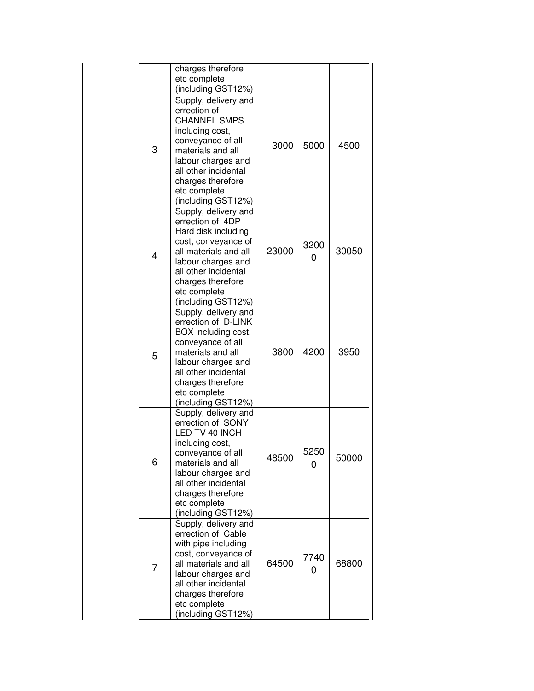|  |                | charges therefore<br>etc complete<br>(including GST12%)                                                                                                                                                                                        |       |                        |       |  |
|--|----------------|------------------------------------------------------------------------------------------------------------------------------------------------------------------------------------------------------------------------------------------------|-------|------------------------|-------|--|
|  | 3              | Supply, delivery and<br>errection of<br><b>CHANNEL SMPS</b><br>including cost,<br>conveyance of all<br>materials and all<br>labour charges and<br>all other incidental<br>charges therefore<br>etc complete                                    | 3000  | 5000                   | 4500  |  |
|  | $\overline{4}$ | (including GST12%)<br>Supply, delivery and<br>errection of 4DP<br>Hard disk including<br>cost, conveyance of<br>all materials and all<br>labour charges and<br>all other incidental<br>charges therefore<br>etc complete<br>(including GST12%) | 23000 | 3200<br>$\mathbf 0$    | 30050 |  |
|  | 5              | Supply, delivery and<br>errection of D-LINK<br>BOX including cost,<br>conveyance of all<br>materials and all<br>labour charges and<br>all other incidental<br>charges therefore<br>etc complete<br>(including GST12%)                          | 3800  | 4200                   | 3950  |  |
|  | 6              | Supply, delivery and<br>errection of SONY<br>LED TV 40 INCH<br>including cost,<br>conveyance of all<br>materials and all<br>labour charges and<br>all other incidental<br>charges therefore<br>etc complete<br>(including GST12%)              | 48500 | 5250<br>$\overline{0}$ | 50000 |  |
|  | $\overline{7}$ | Supply, delivery and<br>errection of Cable<br>with pipe including<br>cost, conveyance of<br>all materials and all<br>labour charges and<br>all other incidental<br>charges therefore<br>etc complete<br>(including GST12%)                     | 64500 | 7740<br>$\mathbf 0$    | 68800 |  |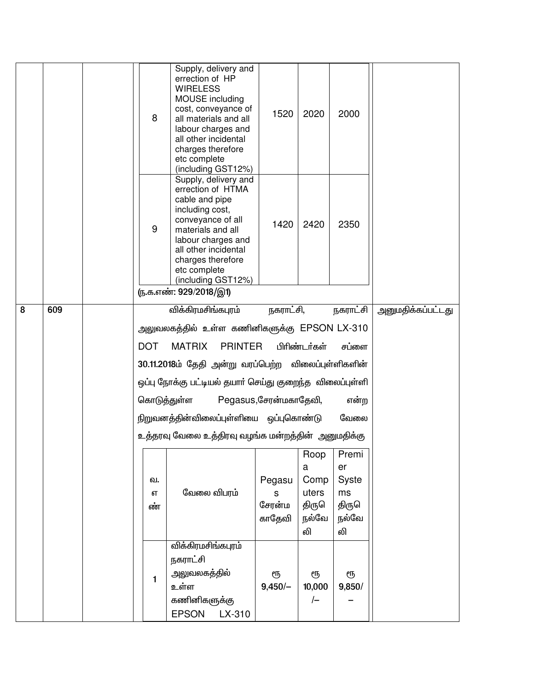|   |     | 8           | Supply, delivery and<br>errection of HP<br><b>WIRELESS</b><br>MOUSE including<br>cost, conveyance of<br>all materials and all<br>labour charges and<br>all other incidental<br>charges therefore<br>etc complete<br>(including GST12%)                             | 1520                  | 2020           | 2000           |                   |
|---|-----|-------------|--------------------------------------------------------------------------------------------------------------------------------------------------------------------------------------------------------------------------------------------------------------------|-----------------------|----------------|----------------|-------------------|
|   |     | 9           | Supply, delivery and<br>errection of HTMA<br>cable and pipe<br>including cost,<br>conveyance of all<br>materials and all<br>labour charges and<br>all other incidental<br>charges therefore<br>etc complete<br>(including GST12%)<br><u>ரு.க.எண்: 929/2018/இ1)</u> | 1420                  | 2420           | 2350           |                   |
| 8 | 609 |             | விக்கிரமசிங்கபுரம்                                                                                                                                                                                                                                                 | நகராட்சி,             |                | நகராட்சி       | அனுமதிக்கப்பட்டது |
|   |     |             |                                                                                                                                                                                                                                                                    |                       |                |                |                   |
|   |     |             | அலுவலகத்தில் உள்ள கணினிகளுக்கு EPSON LX-310                                                                                                                                                                                                                        |                       |                |                |                   |
|   |     | <b>DOT</b>  | <b>MATRIX</b><br><b>PRINTER</b>                                                                                                                                                                                                                                    |                       | பிரிண்டர்கள்   | சப்ளை          |                   |
|   |     |             | 30.11.2018ம் தேதி அன்று வரப்பெற்ற விலைப்புள்ளிகளின்                                                                                                                                                                                                                |                       |                |                |                   |
|   |     |             | ஒப்பு நோக்கு பட்டியல் தயாா் செய்து குறைந்த விலைப்புள்ளி                                                                                                                                                                                                            |                       |                |                |                   |
|   |     | கொடுத்துள்ள |                                                                                                                                                                                                                                                                    | Pegasus,சேரன்மகாதேவி, |                | என்ற           |                   |
|   |     |             | நிறுவனத்தின்விலைப்புள்ளியை ஒப்புகொண்டு                                                                                                                                                                                                                             |                       |                | வேலை           |                   |
|   |     |             | உத்தரவு வேலை உத்திரவு வழங்க மன்றத்தின்  அனுமதிக்கு                                                                                                                                                                                                                 |                       |                |                |                   |
|   |     |             |                                                                                                                                                                                                                                                                    |                       | Roop           | Premi          |                   |
|   |     |             |                                                                                                                                                                                                                                                                    |                       | a              | er             |                   |
|   |     | வ.          |                                                                                                                                                                                                                                                                    | Pegasu                | Comp           | Syste          |                   |
|   |     | எ           | வேலை விபரம்                                                                                                                                                                                                                                                        | s                     | uters          | ms             |                   |
|   |     | ண்          |                                                                                                                                                                                                                                                                    | சேரன்ம<br>காதேவி      | திருௌ<br>நல்வே | திருௌ<br>நல்வே |                   |
|   |     |             |                                                                                                                                                                                                                                                                    |                       | லி             | லி             |                   |
|   |     |             | விக்கிரமசிங்கபுரம்                                                                                                                                                                                                                                                 |                       |                |                |                   |
|   |     |             | நகராட்சி                                                                                                                                                                                                                                                           |                       |                |                |                   |
|   |     | 1           | அலுவலகத்தில்                                                                                                                                                                                                                                                       | ரூ                    | ரூ             | ரூ             |                   |
|   |     |             | உள்ள                                                                                                                                                                                                                                                               | $9,450/-$             | 10,000         | 9,850/         |                   |
|   |     |             | கணினிகளுக்கு                                                                                                                                                                                                                                                       |                       | $\sqrt{}$      |                |                   |
|   |     |             | <b>EPSON</b><br>LX-310                                                                                                                                                                                                                                             |                       |                |                |                   |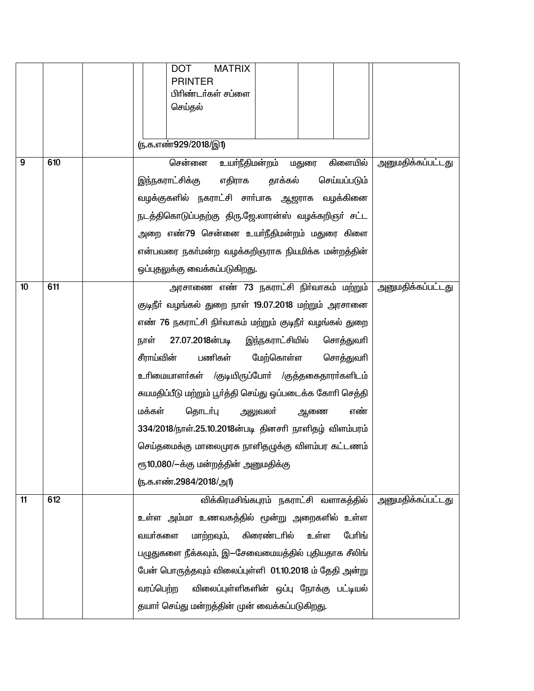|    |     | <b>MATRIX</b><br><b>DOT</b><br><b>PRINTER</b><br>பிரிண்டர்கள் சப்ளை<br>செய்தல் |                          |
|----|-----|--------------------------------------------------------------------------------|--------------------------|
|    |     | <u>ரு.க.எண்929/2018/இ1)</u>                                                    |                          |
| 9  | 610 | சென்னை<br>உயா்நீதிமன்றம் மதுரை<br>கிளையில்                                     | <u>அனுமதிக்கப்பட்டது</u> |
|    |     | எதிராக<br>இந்நகராட்சிக்கு<br>தாக்கல்<br>செய்யப்படும்                           |                          |
|    |     | வழக்குகளில் நகராட்சி சாா்பாக ஆஜராக வழக்கினை                                    |                          |
|    |     | நடத்திகொடுப்பதற்கு திரு.ஜே.லாரன்ஸ் வழக்கறிஞா் சட்ட                             |                          |
|    |     | அறை எண்79 சென்னை உயா்நீதிமன்றம் மதுரை கிளை                                     |                          |
|    |     | என்பவரை நகா்மன்ற வழக்கறிஞராக நியமிக்க மன்றத்தின்                               |                          |
|    |     | ஒப்புதலுக்கு வைக்கப்படுகிறது.                                                  |                          |
| 10 | 611 | அரசாணை எண் 73 நகராட்சி நிர்வாகம் மற்றும்                                       | <u>அனுமதிக்கப்பட்டது</u> |
|    |     | குடிநீா் வழங்கல் துறை நாள் 19.07.2018 மற்றும் அரசானை                           |                          |
|    |     | எண் 76 நகராட்சி நிர்வாகம் மற்றும் குடிநீர் வழங்கல் துறை                        |                          |
|    |     | 27.07.2018ன்படி<br>இந்நகராட்சியில்<br>நாள்<br>சொத்துவரி                        |                          |
|    |     | சீராய்வின்<br>பணிகள்<br>மேற்கொள்ள<br>சொத்துவரி                                 |                          |
|    |     | உரிமையாளா்கள் /குடியிருப்போா் /குத்தகைதாரா்களிடம்                              |                          |
|    |     | சுயமதிப்பீடு மற்றும் பூர்த்தி செய்து ஒப்படைக்க கோரி செத்தி                     |                          |
|    |     | மக்கள்<br>தொடர்பு<br>அலுவலா்<br>ஆணை<br>எண்                                     |                          |
|    |     | 334/2018/நாள்.25.10.2018ன்படி தினசரி நாளிதழ் விளம்பரம்                         |                          |
|    |     | செய்தமைக்கு மாலைமுரசு நாளிதழுக்கு விளம்பர கட்டணம்                              |                          |
|    |     | ரூ10,080/-க்கு மன்றத்தின் அனுமதிக்கு                                           |                          |
|    |     | (ந.க.எண்.2984/2018/அ1)                                                         |                          |
| 11 | 612 | விக்கிரமசிங்கபுரம் நகராட்சி வளாகத்தில்                                         | <u>அனுமதிக்கப்பட்டது</u> |
|    |     | உள்ள அம்மா உணவகத்தில் மூன்று அறைகளில் உள்ள                                     |                          |
|    |     | கிரைண்டாில்<br>மாற்றவும்,<br>பேரிங்<br>வயா்களை<br>உள்ள                         |                          |
|    |     | பழுதுகளை நீக்கவும், இ—சேவைமையத்தில் புதியதாக சீலிங்                            |                          |
|    |     | பேன் பொருத்தவும் விலைப்புள்ளி 01.10.2018 ம் தேதி அன்று                         |                          |
|    |     | வரப்பெற்ற<br>விலைப்புள்ளிகளின் ஒப்பு நோக்கு பட்டியல்                           |                          |
|    |     | தயாா் செய்து மன்றத்தின் முன் வைக்கப்படுகிறது.                                  |                          |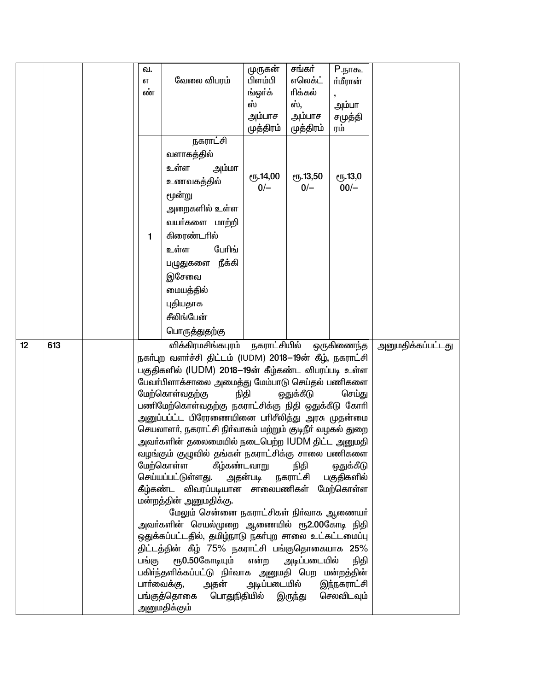|    |     | வ.<br>எ<br>ண் | வேலை விபரம்                                                                                                                                                                                                                                                                                                                                                                                                                                                                                                                                                                                                                                                                                                                                                                                                                                                                                                                                                                                                         | முருகன்<br>பிளம்பி<br>ங்ஒர்க்<br>ஸ்<br>அம்பாச<br>முத்திரம்                    | சங்கர்<br>எலெக்ட்<br>ரிக்கல்<br>ஸ்.<br>அம்பாச<br>முத்திரம் | $P$ .நாகூ<br>ர்மீரான்<br>அம்பா<br>சமுத்தி<br>ரம் |                   |
|----|-----|---------------|---------------------------------------------------------------------------------------------------------------------------------------------------------------------------------------------------------------------------------------------------------------------------------------------------------------------------------------------------------------------------------------------------------------------------------------------------------------------------------------------------------------------------------------------------------------------------------------------------------------------------------------------------------------------------------------------------------------------------------------------------------------------------------------------------------------------------------------------------------------------------------------------------------------------------------------------------------------------------------------------------------------------|-------------------------------------------------------------------------------|------------------------------------------------------------|--------------------------------------------------|-------------------|
|    |     | 1             | நகராட்சி<br>வளாகத்தில்<br>உள்ள<br>அம்மா<br>உணவகத்தில்<br>மூன்று<br>அறைகளில் உள்ள<br>வயா்களை மாற்றி<br>கிரைண்டரில்<br>பேரிங்<br>உள்ள<br>நீக்கி<br>பழுதுகளை<br>இசேவை<br>மையத்தில்<br>புதியதாக<br>சீலிங்பேன்                                                                                                                                                                                                                                                                                                                                                                                                                                                                                                                                                                                                                                                                                                                                                                                                           | <b>е</b> ҧ.14,00<br>$0/-$                                                     | <b>е</b> ђ.13,50<br>$0/-$                                  | <b>е</b> ђ.13,0<br>$00/-$                        |                   |
| 12 | 613 |               | பொருத்துதற்கு<br>விக்கிரமசிங்கபுரம்                                                                                                                                                                                                                                                                                                                                                                                                                                                                                                                                                                                                                                                                                                                                                                                                                                                                                                                                                                                 | நகராட்சியில்                                                                  |                                                            | ஒருகிணைந்த                                       | அனுமதிக்கப்பட்டது |
|    |     | பங்கு         | நகர்புற வளர்ச்சி திட்டம் (IUDM) 2018–19ன் கீழ், நகராட்சி<br>பகுதிகளில் (IUDM) 2018–19ன் கீழ்கண்ட விபரப்படி உள்ள<br>பேவா்பிளாக்சாலை அமைத்து மேம்பாடு செய்தல் பணிகளை<br>மேற்கொள்வதற்கு<br>நிதி<br>பணிமேற்கொள்வதற்கு நகராட்சிக்கு நிதி ஒதுக்கீடு கோரி<br>அனுப்பப்ட்ட பிரேரணையினை பாிசீலித்து அரசு முதன்ம <mark>ை</mark><br>செயலாளா், நகராட்சி நிா்வாகம் மற்றும் குடிநீா் வழகல் துறை<br>அவா்களின் தலைமையில் நடைபெற்ற IUDM திட்ட அனுமதி<br>வழங்கும் குழுவில் தங்கள் நகராட்சிக்கு சாலை பணிகளை<br>மேற்கொள்ள<br>கீழ்கண்டவாறு<br>செய்யப்பட்டுள்ளது. அதன்படி நகராட்சி பகுதிகளில்<br>கீழ்கண்ட விவரப்படியான சாலைபணிகள் மேற்கொள்ள<br>மன்றத்தின் அனுமதிக்கு.<br>மேலும் சென்னை நகராட்சிகள் நிர்வாக ஆணையர்<br>அவா்களின் செயல்முறை ஆணையில் ரூ2.00கோடி நிதி<br>ஒதுக்கப்பட்டதில், தமிழ்நாடு நகா்புற சாலை உட்கட்டமைப்பு<br>திட்டத்தின் கீழ் 75% நகராட்சி பங்குதொகையாக 25%<br>ரூ0.50கோடியும்<br>பகிா்ந்தளிக்கப்பட்டு நிா்வாக அனுமதி பெற மன்றத்தின்<br>பாா்வைக்கு,<br>அதன்<br>அடிப்படையில்<br>பங்குத்தொகை<br>பொதுநிதியில்<br>அனுமதிக்கும் | செய்து<br>ஒதுக்கீடு<br>என்ற அடிப்படையில்<br>நிதி<br>இந்நகராட்சி<br>செலவிடவும் |                                                            |                                                  |                   |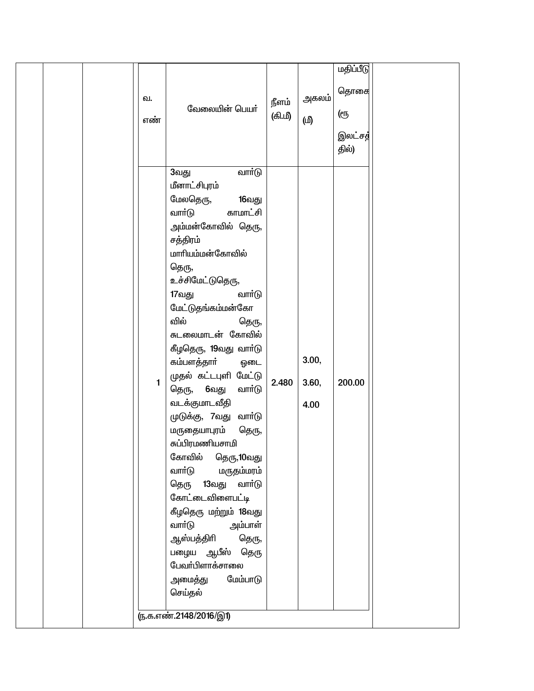| தொகை<br>அகலம் <br>வ.<br>நீளம்<br>வேலையின் பெயர்<br>ளு<br>(கி.மீ)<br>(மி<br>எண்<br>இலட்சத்<br>தில்)<br>வார்டு<br>3வது<br>மீனாட்சிபுரம்<br>மேலதெரு,<br>16வது<br>வார்டு<br>காமாட்சி<br>அம்மன்கோவில் தெரு,<br>சத்திரம்<br>மாரியம்மன்கோவில்<br>தெரு,<br>உச்சிமேட்டுதெரு,<br>17வது<br>வார்டு<br>மேட்டுதங்கம்மன்கோ<br>வில்<br>தெரு,<br>சுடலைமாடன் கோவில்<br>கீழதெரு, 19வது வாா்டு<br>3.00,<br>கம்பளத்தாா்<br>ஒடை<br>முதல் கட்டபுளி மேட்டு<br>2.480<br>200.00<br>$\mathbf{1}$<br>3.60,<br>தெரு, 6வது<br>வார்டு<br>வடக்குமாடவீதி<br>4.00<br>முடுக்கு, 7வது<br>வாா்டு<br>மருதையாபுரம்<br>தெரு,<br>சுப்பிரமணியசாமி<br>கோவில்<br>தெரு,10வது<br>வார்டு<br>மருதம்மரம்<br>13வது<br>வார்டு<br>தெரு<br>கோட்டைவிளைபட்டி<br>கீழதெரு மற்றும் 18வது<br>வார்டு<br>அம்பாள்<br>ஆஸ்பத்திரி<br>தெரு,<br>பழைய ஆபீஸ் தெரு<br>பேவா்பிளாக்சாலை<br>மேம்பாடு<br>அமைத்து |  |         |  |           |  |
|-----------------------------------------------------------------------------------------------------------------------------------------------------------------------------------------------------------------------------------------------------------------------------------------------------------------------------------------------------------------------------------------------------------------------------------------------------------------------------------------------------------------------------------------------------------------------------------------------------------------------------------------------------------------------------------------------------------------------------------------------------------------------------------------------------------------------------------------|--|---------|--|-----------|--|
|                                                                                                                                                                                                                                                                                                                                                                                                                                                                                                                                                                                                                                                                                                                                                                                                                                         |  |         |  | மதிப்பீடு |  |
| ரு.க.எண்.2148/2016/இ1)                                                                                                                                                                                                                                                                                                                                                                                                                                                                                                                                                                                                                                                                                                                                                                                                                  |  | செய்தல் |  |           |  |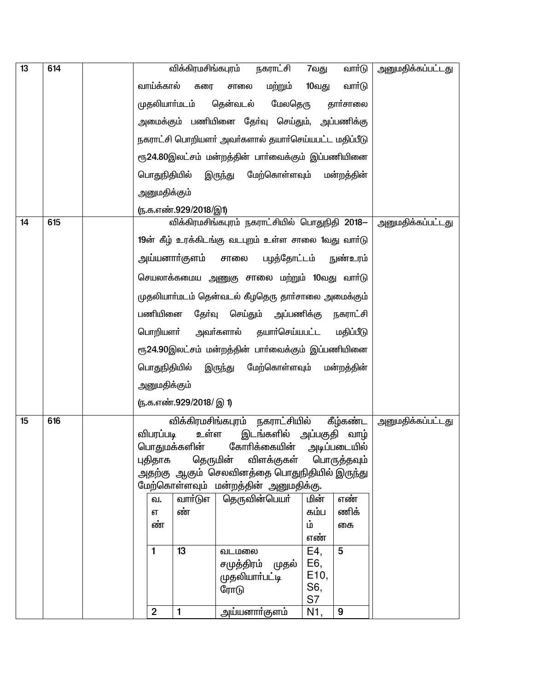| 13 | 614 |                | விக்கிரமசிங்கபுரம்      | நகராட்சி                                                            | 7வது                     | வாா்டு          | <u>அனுமதிக்கப்பட்டது</u> |
|----|-----|----------------|-------------------------|---------------------------------------------------------------------|--------------------------|-----------------|--------------------------|
|    |     | வாய்க்கால்     | கரை                     | மற்றும்<br>சாலை                                                     | 10வது                    | வார்டு          |                          |
|    |     |                | முதலியாா்மடம்           | மேலதெரு<br>தென்வடல்                                                 |                          | தார்சாலை        |                          |
|    |     |                |                         | அமைக்கும் பணியினை தேர்வு செய்தும், அப்பணிக்கு                       |                          |                 |                          |
|    |     |                |                         | நகராட்சி பொறியளர் அவர்களால் தயார்செய்யபட்ட மதிப்பீடு                |                          |                 |                          |
|    |     |                |                         | ரூ24.80இலட்சம் மன்றத்தின் பாா்வைக்கும் இப்பணியினை                   |                          |                 |                          |
|    |     | பொதுநிதியில்   |                         | இருந்து<br>மேற்கொள்ளவும் மன்றத்தின்                                 |                          |                 |                          |
|    |     | அனுமதிக்கும்   |                         |                                                                     |                          |                 |                          |
|    |     |                | (ந.க.எண்.929/2018/இ1)   |                                                                     |                          |                 |                          |
| 14 | 615 |                |                         | விக்கிரமசிங்கபுரம் நகராட்சியில் பொதுநிதி 2018—                      |                          |                 | <u>அனுமதிக்கப்பட்டது</u> |
|    |     |                |                         | 19ன் கீழ் உரக்கிடங்கு வடபுறம் உள்ள சாலை 1வது வார்டு                 |                          |                 |                          |
|    |     |                | அய்யனாா்குளம்           | பழத்தோட்டம்<br>சாலை                                                 |                          | <u>நுண்உரம்</u> |                          |
|    |     |                |                         | செயலாக்கமைய அணுகு சாலை மற்றும் 10வது வாா்டு                         |                          |                 |                          |
|    |     |                |                         | முதலியாா்மடம் தென்வடல் கீழதெரு தாா்சாலை அமைக்கும்                   |                          |                 |                          |
|    |     | பணியினை        |                         | தோ்வு செய்தும் அப்பணிக்கு                                           |                          | நகராட்சி        |                          |
|    |     | பொறியளா்       |                         | அவா்களால் தயாா்செய்யபட்ட                                            |                          | மதிப்பீடு       |                          |
|    |     |                |                         | ரூ24.90இலட்சம் மன்றத்தின் பாா்வைக்கும் இப்பணியினை                   |                          |                 |                          |
|    |     | பொதுநிதியில்   |                         | மேற்கொள்ளவும்<br>இருந்து                                            |                          | மன்றத்தின்      |                          |
|    |     | அனுமதிக்கும்   |                         |                                                                     |                          |                 |                          |
|    |     |                | (ந.க.எண்.929/2018/ இ 1) |                                                                     |                          |                 |                          |
| 15 | 616 |                |                         | விக்கிரமசிங்கபுரம் நகராட்சியில்                                     |                          | கீழ்கண்ட        | <u>அனுமதிக்கப்பட்டது</u> |
|    |     | விபரப்படி      | உள்ள                    | இடங்களில்                                                           | அப்பகுதி                 | வாழ்            |                          |
|    |     |                | பொதுமக்களின்            | கோரிக்கையின்                                                        |                          | அடிப்படையில்    |                          |
|    |     | புதிதாக        |                         | தெருமின் விளக்குகள்<br>அதற்கு ஆகும் செலவினத்தை பொதுநிதியில் இருந்து |                          | பொருத்தவும்     |                          |
|    |     |                |                         |                                                                     |                          |                 |                          |
|    |     | வ.             | வாா்டுஎ                 | மேற்கொள்ளவும் மன்றத்தின் அனுமதிக்கு.<br>தெருவின்பெயா்               | மின்                     | எண்             |                          |
|    |     | எ              | ண்                      |                                                                     | கம்ப                     | ணிக்            |                          |
|    |     | ண்             |                         |                                                                     | ம்                       | கை              |                          |
|    |     |                |                         |                                                                     | எண்                      |                 |                          |
|    |     | 1              | 13                      | வடமலை                                                               | E4,                      | 5               |                          |
|    |     |                |                         | சமுத்திரம்<br>முதல்                                                 | E6,<br>E <sub>10</sub> , |                 |                          |
|    |     |                |                         | முதலியாா்பட்டி<br>ரோடு                                              | S6,                      |                 |                          |
|    |     |                |                         |                                                                     | S7                       |                 |                          |
|    |     | $\overline{2}$ | $\mathbf{1}$            | அய்யனாா்குளம்                                                       | N <sub>1</sub>           | 9               |                          |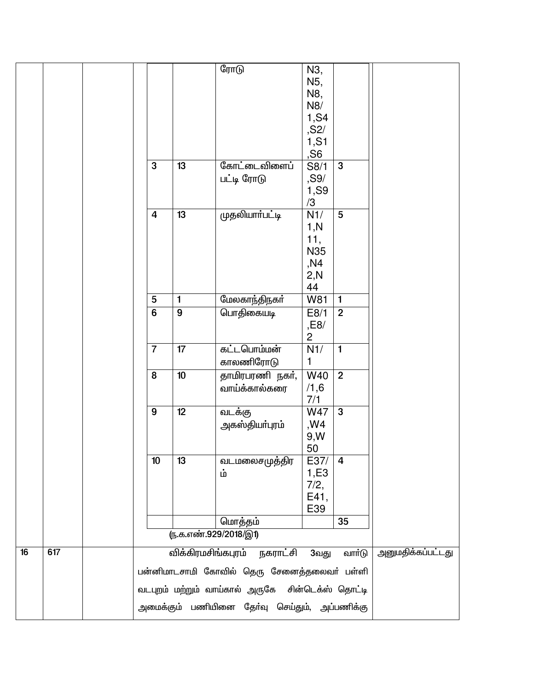|    |     |                |                    |                                                  | N5,               |                |                          |
|----|-----|----------------|--------------------|--------------------------------------------------|-------------------|----------------|--------------------------|
|    |     |                |                    |                                                  | N8,<br>N8/        |                |                          |
|    |     |                |                    |                                                  | 1,S4              |                |                          |
|    |     |                |                    |                                                  | , S2/             |                |                          |
|    |     |                |                    |                                                  | 1,S1              |                |                          |
|    |     |                |                    |                                                  | ,S6               |                |                          |
|    |     | 3              | 13                 | கோட்டைவிளைப்                                     | S8/1              | $\mathbf{3}$   |                          |
|    |     |                |                    | பட்டி ரோடு                                       | ,S9/              |                |                          |
|    |     |                |                    |                                                  | 1,S9<br>/3        |                |                          |
|    |     | $\overline{4}$ | 13                 | முதலியாா்பட்டி                                   | N1/               | 5              |                          |
|    |     |                |                    |                                                  | 1, N              |                |                          |
|    |     |                |                    |                                                  | 11,               |                |                          |
|    |     |                |                    |                                                  | N35               |                |                          |
|    |     |                |                    |                                                  | ,N4<br>2,N        |                |                          |
|    |     |                |                    |                                                  | 44                |                |                          |
|    |     | 5              | $\mathbf{1}$       | மேலகாந்திநகா்                                    | W81               | $\mathbf{1}$   |                          |
|    |     | $\overline{6}$ | 9                  | பொதிகையடி                                        | E8/1              | $\overline{2}$ |                          |
|    |     |                |                    |                                                  | ,E8/              |                |                          |
|    |     |                |                    |                                                  | $\overline{c}$    |                |                          |
|    |     | $\overline{7}$ | 17                 | கட்டபொம்மன்                                      | N1/<br>1          | $\mathbf{1}$   |                          |
|    |     | 8              | 10                 | காலணிரோடு<br>தாமிரபரணி நகர்,                     | $\overline{W}$ 40 | $\overline{2}$ |                          |
|    |     |                |                    | வாய்க்கால்கரை                                    | /1,6              |                |                          |
|    |     |                |                    |                                                  | 7/1               |                |                          |
|    |     | 9              | 12                 | வடக்கு                                           | <b>W47</b>        | $\mathbf{3}$   |                          |
|    |     |                |                    | அகஸ்தியா்புரம்                                   | ,W4               |                |                          |
|    |     |                |                    |                                                  | 9, W              |                |                          |
|    |     | 10             | 13                 |                                                  | 50<br>E37/        | $\overline{4}$ |                          |
|    |     |                |                    | வடமலைசமுத்திர<br>ம்                              | 1, E3             |                |                          |
|    |     |                |                    |                                                  | 7/2,              |                |                          |
|    |     |                |                    |                                                  | E41,              |                |                          |
|    |     |                |                    |                                                  | E39               |                |                          |
|    |     |                |                    | மொத்தம்                                          |                   | 35             |                          |
|    |     |                |                    | <u>ரு.க.எண்.929/2018/இ1)</u>                     |                   |                |                          |
| 16 | 617 |                | விக்கிரமசிங்கபுரம் | நகராட்சி                                         | 3வது              | வார்டு         | <u>அனுமதிக்கப்பட்டது</u> |
|    |     |                |                    | பன்னிமாடசாமி கோவில் தெரு சேனைத்தலைவா் பள்ளி      |                   |                |                          |
|    |     |                |                    | வடபுறம் மற்றும் வாய்கால் அருகே சின்டெக்ஸ் தொட்டி |                   |                |                          |
|    |     |                |                    |                                                  |                   |                |                          |
|    |     |                |                    | அமைக்கும் பணியினை தோ்வு செய்தும், அப்பணிக்கு     |                   |                |                          |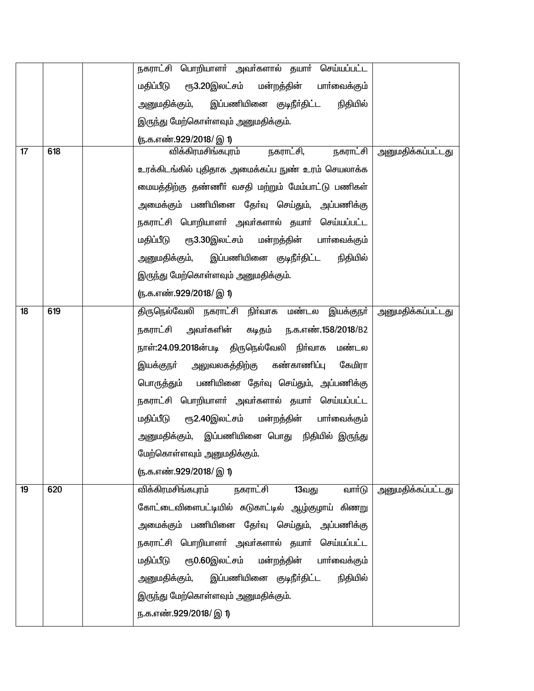|    |     | நகராட்சி பொறியாளா் அவா்களால் தயாா் செய்யப்பட்ட            |                          |
|----|-----|-----------------------------------------------------------|--------------------------|
|    |     | ரூ3.20இலட்சம் மன்றத்தின்<br>மதிப்பீடு<br>பாா்வைக்கும்     |                          |
|    |     | அனுமதிக்கும், இப்பணியினை குடிநீா்திட்ட<br>நிதியில்        |                          |
|    |     | இருந்து மேற்கொள்ளவும் அனுமதிக்கும்.                       |                          |
|    |     | (ந.க.எண்.929/2018/ இ 1)                                   |                          |
| 17 | 618 | நகராட்சி,<br>நகராட்சி<br>விக்கிரமசிங்கபுரம்               | <u>அனுமதிக்கப்பட்டது</u> |
|    |     | உரக்கிடங்கில் புதிதாக அமைக்கப்ப நுண் உரம் செயலாக்க        |                          |
|    |     | மையத்திற்கு தண்ணீா் வசதி மற்றும் மேம்பாட்டு பணிகள்        |                          |
|    |     | அமைக்கும் பணியினை தோ்வு செய்தும், அப்பணிக்கு              |                          |
|    |     | நகராட்சி பொறியாளா் அவா்களால் தயாா் செய்யப்பட்ட            |                          |
|    |     | மதிப்பீடு ரூ3.30இலட்சம் மன்றத்தின் பாா்வைக்கும்           |                          |
|    |     | அனுமதிக்கும், இப்பணியினை குடிநீா்திட்ட<br>நிதியில்        |                          |
|    |     | இருந்து மேற்கொள்ளவும் அனுமதிக்கும்.                       |                          |
|    |     | <u>(ந</u> .க.எண்.929/2018/ இ 1)                           |                          |
| 18 | 619 | திருநெல்வேலி நகராட்சி நிா்வாக மண்டல இயக்குநா்             | <u>அனுமதிக்கப்பட்டது</u> |
|    |     | நகராட்சி அவர்களின்<br>கடிதம் ந.க.எண். <b>158/2018</b> /B2 |                          |
|    |     | நாள்:24.09.2018ன்படி திருநெல்வேலி நிா்வாக<br>மண்டல        |                          |
|    |     | அலுவலகத்திற்கு கண்காணிப்பு<br>கேமிரா<br>இயக்குநா்         |                          |
|    |     | பொருத்தும் பணியினை தேர்வு செய்தும், அப்பணிக்கு            |                          |
|    |     | நகராட்சி பொறியாளா் அவா்களால் தயாா் செய்யப்பட்ட            |                          |
|    |     | ரூ2.40இலட்சம் மன்றத்தின் பாா்வைக்கும்<br>மதிப்பீடு        |                          |
|    |     | அனுமதிக்கும், இப்பணியினை பொது நிதியில் இருந்து            |                          |
|    |     | மேற்கொள்ளவும் அனுமதிக்கும்.                               |                          |
|    |     | ரு.க.எண்.929/2018/ இ 1)                                   |                          |
| 19 | 620 | விக்கிரமசிங்கபுரம்<br>நகராட்சி<br>வார்டு<br>13வது         | <u>அனுமதிக்கப்பட்டது</u> |
|    |     | கோட்டைவிளைபட்டியில் சுடுகாட்டில் ஆழ்குழாய் கிணறு          |                          |
|    |     | அமைக்கும் பணியினை தோ்வு செய்தும், அப்பணிக்கு              |                          |
|    |     | நகராட்சி பொறியாளா் அவா்களால் தயாா் செய்யப்பட்ட            |                          |
|    |     | ரூ0.60இலட்சம் மன்றத்தின் பார்வைக்கும்<br>மதிப்பீடு        |                          |
|    |     | இப்பணியினை குடிநீா்திட்ட<br>அனுமதிக்கும்,<br>நிதியில்     |                          |
|    |     | இருந்து மேற்கொள்ளவும் அனுமதிக்கும்.                       |                          |
|    |     | ந.க.எண்.929/2018/ இ 1)                                    |                          |
|    |     |                                                           |                          |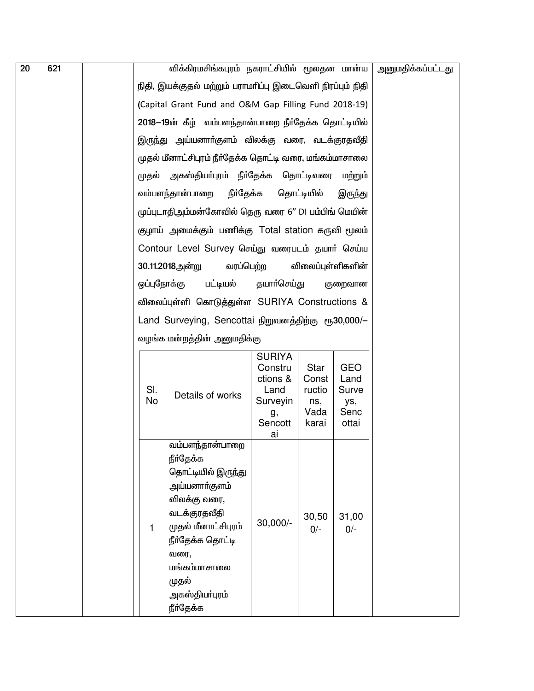| 20 | 621 |              | விக்கிரமசிங்கபுரம் நகராட்சியில் மூலதன மான்ய                                                                                                                                                                    |                                                                           |                                                 |                                                     | அனுமதிக்கப்பட்டது |
|----|-----|--------------|----------------------------------------------------------------------------------------------------------------------------------------------------------------------------------------------------------------|---------------------------------------------------------------------------|-------------------------------------------------|-----------------------------------------------------|-------------------|
|    |     |              | நிதி, இயக்குதல் மற்றும் பராமாிப்பு இடைவெளி நிரப்பும் நிதி                                                                                                                                                      |                                                                           |                                                 |                                                     |                   |
|    |     |              | (Capital Grant Fund and O&M Gap Filling Fund 2018-19)                                                                                                                                                          |                                                                           |                                                 |                                                     |                   |
|    |     |              | 2018–19ன் கீழ் வம்பளந்தான்பாறை நீர்தேக்க தொட்டியில்                                                                                                                                                            |                                                                           |                                                 |                                                     |                   |
|    |     |              | இருந்து அய்யனாா்குளம் விலக்கு வரை, வடக்குரதவீதி                                                                                                                                                                |                                                                           |                                                 |                                                     |                   |
|    |     |              | முதல் மீனாட்சிபுரம் நீா்தேக்க தொட்டி வரை, மங்கம்மாசாலை                                                                                                                                                         |                                                                           |                                                 |                                                     |                   |
|    |     |              | முதல் அகஸ்தியா்புரம் நீா்தேக்க தொட்டிவரை மற்றும்                                                                                                                                                               |                                                                           |                                                 |                                                     |                   |
|    |     |              | நீா்தேக்க<br>வம்பளந்தான்பாறை                                                                                                                                                                                   |                                                                           | தொட்டியில்                                      | இருந்து                                             |                   |
|    |     |              | முப்புடாதிஅம்மன்கோவில் தெரு வரை 6" DI பம்பிங் மெயின்                                                                                                                                                           |                                                                           |                                                 |                                                     |                   |
|    |     |              | குழாய் அமைக்கும் பணிக்கு Total station கருவி மூலம்                                                                                                                                                             |                                                                           |                                                 |                                                     |                   |
|    |     |              | Contour Level Survey செய்து வரைபடம் தயார் செய்ய                                                                                                                                                                |                                                                           |                                                 |                                                     |                   |
|    |     |              | 30.11.2018அன்று<br>வரப்பெற்ற                                                                                                                                                                                   |                                                                           |                                                 | விலைப்புள்ளிகளின்                                   |                   |
|    |     |              | ஒப்புநோக்கு<br>பட்டியல்                                                                                                                                                                                        | தயாா்செய்து                                                               |                                                 | குறைவான                                             |                   |
|    |     |              | விலைப்புள்ளி கொடுத்துள்ள SURIYA Constructions &                                                                                                                                                                |                                                                           |                                                 |                                                     |                   |
|    |     |              | Land Surveying, Sencottai நிறுவனத்திற்கு ரூ30,000/-                                                                                                                                                            |                                                                           |                                                 |                                                     |                   |
|    |     |              |                                                                                                                                                                                                                |                                                                           |                                                 |                                                     |                   |
|    |     |              | வழங்க மன்றத்தின் அனுமதிக்கு                                                                                                                                                                                    |                                                                           |                                                 |                                                     |                   |
|    |     | SI.<br>No    | Details of works                                                                                                                                                                                               | <b>SURIYA</b><br>Constru<br>ctions &<br>Land<br>Surveyin<br>g,<br>Sencott | Star<br>Const<br>ructio<br>ns,<br>Vada<br>karai | <b>GEO</b><br>Land<br>Surve<br>ys,<br>Senc<br>ottai |                   |
|    |     |              |                                                                                                                                                                                                                | ai                                                                        |                                                 |                                                     |                   |
|    |     | $\mathbf{1}$ | வம்பளந்தான்பாறை<br>நீா்தேக்க<br>தொட்டியில் இருந்து<br>அய்யனாா்குளம்<br>விலக்கு வரை,<br>வடக்குரதவீதி<br>முதல் மீனாட்சிபுரம்<br>நீர்தேக்க தொட்டி<br>வரை,<br>மங்கம்மாசாலை<br>முதல்<br>அகஸ்தியா்புரம்<br>நீர்தேக்க | $30,000/-$                                                                | 30,50<br>$0/-$                                  | 31,00<br>$0/-$                                      |                   |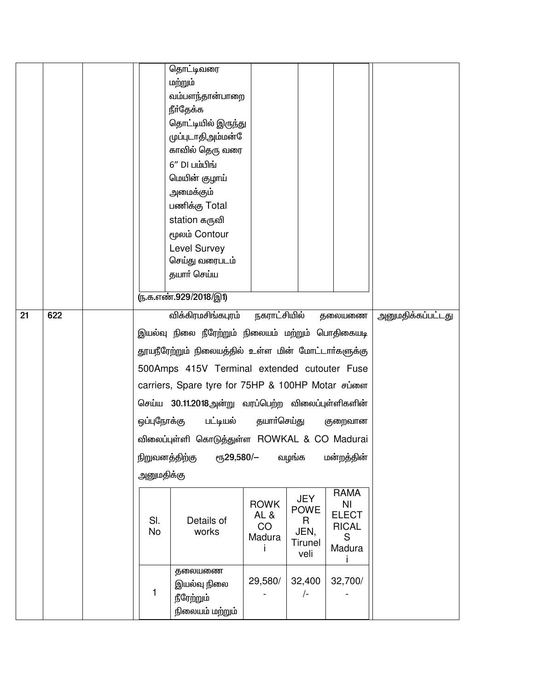|    |     |                | தொட்டிவரை                                           |              |                           |                   |                   |
|----|-----|----------------|-----------------------------------------------------|--------------|---------------------------|-------------------|-------------------|
|    |     |                | மற்றும்                                             |              |                           |                   |                   |
|    |     |                | வம்பளந்தான்பாறை                                     |              |                           |                   |                   |
|    |     |                | நீா்தேக்க                                           |              |                           |                   |                   |
|    |     |                | தொட்டியில் இருந்து                                  |              |                           |                   |                   |
|    |     |                | முப்புடாதிஅம்மன்                                    |              |                           |                   |                   |
|    |     |                | காவில் தெரு வரை                                     |              |                           |                   |                   |
|    |     |                | $6''$ DI பம்பிங்                                    |              |                           |                   |                   |
|    |     |                | மெயின் குழாய்                                       |              |                           |                   |                   |
|    |     |                | அமைக்கும்                                           |              |                           |                   |                   |
|    |     |                | பணிக்கு Total                                       |              |                           |                   |                   |
|    |     |                | station கருவி                                       |              |                           |                   |                   |
|    |     |                | மூலம் Contour                                       |              |                           |                   |                   |
|    |     |                | Level Survey                                        |              |                           |                   |                   |
|    |     |                | செய்து வரைபடம்                                      |              |                           |                   |                   |
|    |     |                | தயார் செய்ய                                         |              |                           |                   |                   |
|    |     |                | <u>ரு.க.எண்.929/2018/இ1)</u>                        |              |                           |                   |                   |
| 21 | 622 |                | விக்கிரமசிங்கபுரம்                                  | நகராட்சியில் |                           | தலையணை            | அனுமதிக்கப்பட்டது |
|    |     |                |                                                     |              |                           |                   |                   |
|    |     |                | இயல்வு நிலை நீரேற்றும் நிலையம் மற்றும் பொதிகையடி    |              |                           |                   |                   |
|    |     |                | தூயநீரேற்றும் நிலையத்தில் உள்ள மின் மோட்டார்களுக்கு |              |                           |                   |                   |
|    |     |                | 500Amps 415V Terminal extended cutouter Fuse        |              |                           |                   |                   |
|    |     |                | carriers, Spare tyre for 75HP & 100HP Motar சப்ளை   |              |                           |                   |                   |
|    |     |                | செய்ய 30.11.2018அன்று வரப்பெற்ற விலைப்புள்ளிகளின்   |              |                           |                   |                   |
|    |     |                | ஒப்புநோக்கு பட்டியல் தயாா்செய்து                    |              |                           | குறைவான           |                   |
|    |     |                | விலைப்புள்ளி கொடுத்துள்ள ROWKAL & CO Madurai        |              |                           |                   |                   |
|    |     | நிறுவனத்திற்கு | еҧ29,580/-                                          |              | வழங்க                     | மன்றத்தின்        |                   |
|    |     | அனுமதிக்கு     |                                                     |              |                           |                   |                   |
|    |     |                |                                                     |              |                           | <b>RAMA</b>       |                   |
|    |     |                |                                                     | <b>ROWK</b>  | <b>JEY</b><br><b>POWE</b> | N <sub>l</sub>    |                   |
|    |     | SI.            | Details of                                          | AL&          | R.                        | <b>ELECT</b>      |                   |
|    |     | No             | works                                               | CO<br>Madura | JEN,                      | <b>RICAL</b><br>S |                   |
|    |     |                |                                                     |              | <b>Tirunel</b><br>veli    | Madura            |                   |
|    |     |                | தலையணை                                              |              |                           |                   |                   |
|    |     |                | இயல்வு நிலை                                         | 29,580/      | 32,400                    | 32,700/           |                   |
|    |     | 1              |                                                     |              | /-                        |                   |                   |
|    |     |                | நீரேற்றும்                                          |              |                           |                   |                   |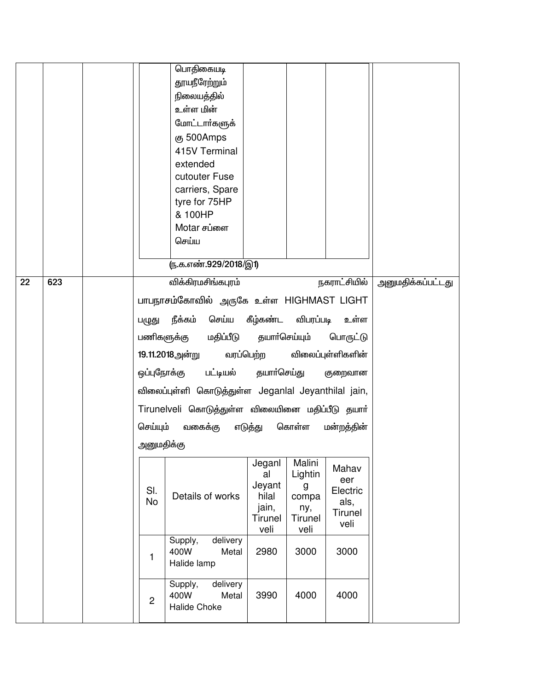|    |     |                | பொதிகையடி<br>தூயநீரேற்றும்<br>நிலையத்தில்<br>உள்ள மின்<br>மோட்டார்களுக்<br>கு 500Amps<br>415V Terminal<br>extended<br>cutouter Fuse<br>carriers, Spare<br>tyre for 75HP<br>& 100HP<br>Motar சப்ளை |                                                             |                                                                  |                                                     |                   |
|----|-----|----------------|---------------------------------------------------------------------------------------------------------------------------------------------------------------------------------------------------|-------------------------------------------------------------|------------------------------------------------------------------|-----------------------------------------------------|-------------------|
|    |     |                | செய்ய                                                                                                                                                                                             |                                                             |                                                                  |                                                     |                   |
|    |     |                | <u>ரு.க.எண்.929/2018/இ1)</u>                                                                                                                                                                      |                                                             |                                                                  |                                                     |                   |
| 22 | 623 |                | விக்கிரமசிங்கபுரம்                                                                                                                                                                                |                                                             |                                                                  | நகராட்சியில்                                        | அனுமதிக்கப்பட்டது |
|    |     |                | பாபநாசம்கோவில் அருகே உள்ள HIGHMAST LIGHT                                                                                                                                                          |                                                             |                                                                  |                                                     |                   |
|    |     | பழுது          | நீக்கம்<br>செய்ய கீழ்கண்ட விபரப்படி                                                                                                                                                               |                                                             |                                                                  | உள்ள                                                |                   |
|    |     |                | மதிப்பீடு தயாா்செய்யும்<br>பணிகளுக்கு                                                                                                                                                             |                                                             |                                                                  | பொருட்டு                                            |                   |
|    |     |                | 19.11.2018அன்று வரப்பெற்ற                                                                                                                                                                         |                                                             |                                                                  | விலைப்புள்ளிகளின்                                   |                   |
|    |     | ஒப்புநோக்கு    | பட்டியல் தயாா்செய்து                                                                                                                                                                              |                                                             |                                                                  | குறைவான                                             |                   |
|    |     |                | விலைப்புள்ளி கொடுத்துள்ள Jeganlal Jeyanthilal jain,                                                                                                                                               |                                                             |                                                                  |                                                     |                   |
|    |     |                | Tirunelveli கொடுத்துள்ள விலையினை மதிப்பீடு தயார்                                                                                                                                                  |                                                             |                                                                  |                                                     |                   |
|    |     | செய்யும்       | வகைக்கு                                                                                                                                                                                           | எடுத்து                                                     | கொள்ள                                                            | மன்றத்தின்                                          |                   |
|    |     | அனுமதிக்கு     |                                                                                                                                                                                                   |                                                             |                                                                  |                                                     |                   |
|    |     | SI.<br>No      | Details of works                                                                                                                                                                                  | Jeganl<br>al<br>Jeyant<br>hilal<br>jain,<br>Tirunel<br>veli | Malini<br>Lightin<br>g<br>compa<br>ny,<br><b>Tirunel</b><br>veli | Mahav<br>eer<br>Electric<br>als,<br>Tirunel<br>veli |                   |
|    |     | $\mathbf{1}$   | delivery<br>Supply,<br>400W<br>Metal<br>Halide lamp                                                                                                                                               | 2980                                                        | 3000                                                             | 3000                                                |                   |
|    |     | $\overline{2}$ | delivery<br>Supply,<br>400W<br>Metal<br>Halide Choke                                                                                                                                              | 3990                                                        | 4000                                                             | 4000                                                |                   |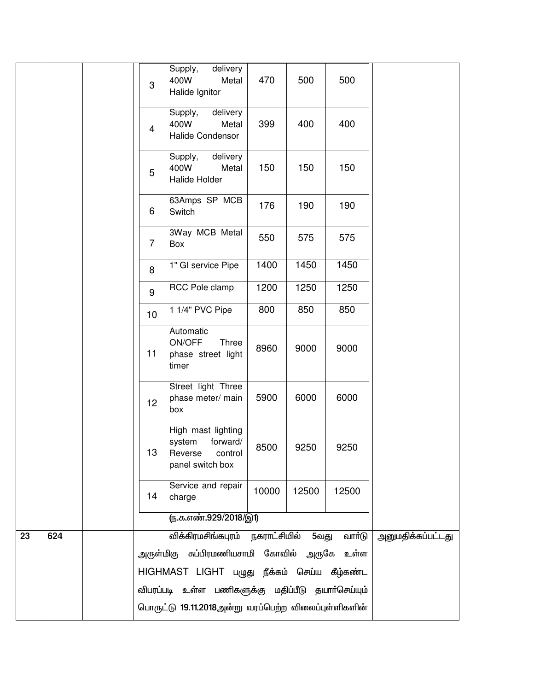|    |     | 3                                           | delivery<br>Supply,<br>400W<br>Metal<br>Halide Ignitor                             | 470   | 500   | 500    |                   |  |  |
|----|-----|---------------------------------------------|------------------------------------------------------------------------------------|-------|-------|--------|-------------------|--|--|
|    |     | $\overline{4}$                              | delivery<br>Supply,<br>400W<br>Metal<br>Halide Condensor                           | 399   | 400   | 400    |                   |  |  |
|    |     | 5                                           | delivery<br>Supply,<br>400W<br>Metal<br>Halide Holder                              | 150   | 150   | 150    |                   |  |  |
|    |     | 6                                           | 63Amps SP MCB<br>Switch                                                            | 176   | 190   | 190    |                   |  |  |
|    |     | $\overline{7}$                              | 3Way MCB Metal<br>Box                                                              | 550   | 575   | 575    |                   |  |  |
|    |     | 8                                           | 1" GI service Pipe                                                                 | 1400  | 1450  | 1450   |                   |  |  |
|    |     | 9                                           | RCC Pole clamp                                                                     | 1200  | 1250  | 1250   |                   |  |  |
|    |     | 10                                          | 1 1/4" PVC Pipe                                                                    | 800   | 850   | 850    |                   |  |  |
|    |     | 11                                          | Automatic<br>ON/OFF<br>Three<br>phase street light<br>timer                        | 8960  | 9000  | 9000   |                   |  |  |
|    |     | 12                                          | Street light Three<br>phase meter/ main<br>box                                     | 5900  | 6000  | 6000   |                   |  |  |
|    |     | 13                                          | High mast lighting<br>forward/<br>system<br>Reverse<br>control<br>panel switch box | 8500  | 9250  | 9250   |                   |  |  |
|    |     | 14                                          | Service and repair<br>charge                                                       | 10000 | 12500 | 12500  |                   |  |  |
|    |     |                                             | <u>ரு.க.எண்.929/2018/இ1)</u>                                                       |       |       |        |                   |  |  |
| 23 | 624 |                                             | விக்கிரமசிங்கபுரம் நகராட்சியில்                                                    |       | 5வது  | வாா்டு | அனுமதிக்கப்பட்டது |  |  |
|    |     |                                             | அருள்மிகு சுப்பிரமணியசாமி கோவில் அருகே உள்ள                                        |       |       |        |                   |  |  |
|    |     | HIGHMAST LIGHT பழுது நீக்கம் செய்ய கீழ்கண்ட |                                                                                    |       |       |        |                   |  |  |
|    |     |                                             | விபரப்படி உள்ள பணிகளுக்கு மதிப்பீடு தயாா்செய்யும்                                  |       |       |        |                   |  |  |
|    |     |                                             | பொருட்டு 19.11.2018அன்று வரப்பெற்ற விலைப்புள்ளிகளின்                               |       |       |        |                   |  |  |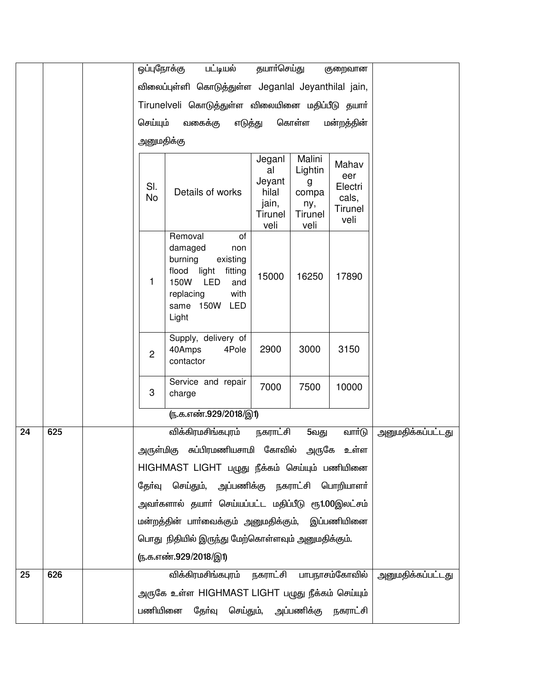|    |     |        | ஒப்புநோக்கு                                         | பட்டியல்                                                                                                                                                       | தயாா்செய்து                                                 |                                                 | குறைவான                                             |                          |
|----|-----|--------|-----------------------------------------------------|----------------------------------------------------------------------------------------------------------------------------------------------------------------|-------------------------------------------------------------|-------------------------------------------------|-----------------------------------------------------|--------------------------|
|    |     |        | விலைப்புள்ளி கொடுத்துள்ள Jeganlal Jeyanthilal jain, |                                                                                                                                                                |                                                             |                                                 |                                                     |                          |
|    |     |        |                                                     | Tirunelveli கொடுத்துள்ள விலையினை மதிப்பீடு தயார்                                                                                                               |                                                             |                                                 |                                                     |                          |
|    |     |        | செய்யும்                                            | எடுத்து<br>வகைக்கு                                                                                                                                             | மன்றத்தின்                                                  |                                                 |                                                     |                          |
|    |     |        | அனுமதிக்கு                                          |                                                                                                                                                                |                                                             |                                                 |                                                     |                          |
|    |     | Malini |                                                     |                                                                                                                                                                |                                                             |                                                 |                                                     |                          |
|    |     |        | SI.<br><b>No</b>                                    | Details of works                                                                                                                                               | Jeganl<br>al<br>Jeyant<br>hilal<br>jain,<br>Tirunel<br>veli | Lightin<br>g<br>compa<br>ny,<br>Tirunel<br>veli | Mahav<br>eer<br>Electri<br>cals,<br>Tirunel<br>veli |                          |
|    |     |        | 1                                                   | Removal<br>of<br>damaged<br>non<br>burning<br>existing<br>flood<br>light<br>fitting<br>150W<br>LED<br>and<br>replacing<br>with<br>150W<br>LED<br>same<br>Light | 15000                                                       | 16250                                           | 17890                                               |                          |
|    |     |        | $\overline{2}$                                      | Supply, delivery of<br>40Amps<br>4Pole<br>contactor                                                                                                            | 2900                                                        | 3000                                            | 3150                                                |                          |
|    |     |        | 3                                                   | Service and repair<br>charge                                                                                                                                   | 7000                                                        | 7500                                            | 10000                                               |                          |
|    |     |        |                                                     | <u>ரு.க.எண்.929/2018/இ1)</u>                                                                                                                                   |                                                             |                                                 |                                                     |                          |
| 24 | 625 |        |                                                     | விக்கிரமசிங்கபுரம்                                                                                                                                             | நகராட்சி                                                    | 5வது                                            | வார்டு                                              | <u>அனுமதிக்கப்பட்டது</u> |
|    |     |        |                                                     | அருள்மிகு சுப்பிரமணியசாமி கோவில் அருகே உள்ள                                                                                                                    |                                                             |                                                 |                                                     |                          |
|    |     |        |                                                     | HIGHMAST LIGHT பழுது நீக்கம் செய்யும் பணியினை                                                                                                                  |                                                             |                                                 |                                                     |                          |
|    |     |        | தேர்வு                                              | செய்தும், அப்பணிக்கு நகராட்சி பொறியாளா்                                                                                                                        |                                                             |                                                 |                                                     |                          |
|    |     |        |                                                     | அவர்களால் தயார் செய்யப்பட்ட மதிப்பீடு ரூ1.00இலட்சம்                                                                                                            |                                                             |                                                 |                                                     |                          |
|    |     |        |                                                     | மன்றத்தின் பாா்வைக்கும் அனுமதிக்கும், இப்பணியினை                                                                                                               |                                                             |                                                 |                                                     |                          |
|    |     |        |                                                     | பொது நிதியில் இருந்து மேற்கொள்ளவும் அனுமதிக்கும்.                                                                                                              |                                                             |                                                 |                                                     |                          |
|    |     |        |                                                     | (ந.க.எண்.929/2018/இ1)                                                                                                                                          |                                                             |                                                 |                                                     |                          |
| 25 | 626 |        |                                                     | விக்கிரமசிங்கபுரம் நகராட்சி பாபநாசம்கோவில்                                                                                                                     |                                                             |                                                 |                                                     | <u>அனுமதிக்கப்பட்டது</u> |
|    |     |        |                                                     | அருகே உள்ள HIGHMAST LIGHT பழுது நீக்கம் செய்யும்                                                                                                               |                                                             |                                                 |                                                     |                          |
|    |     |        | பணியினை                                             | தேர்வு                                                                                                                                                         |                                                             |                                                 | செய்தும், அப்பணிக்கு நகராட்சி                       |                          |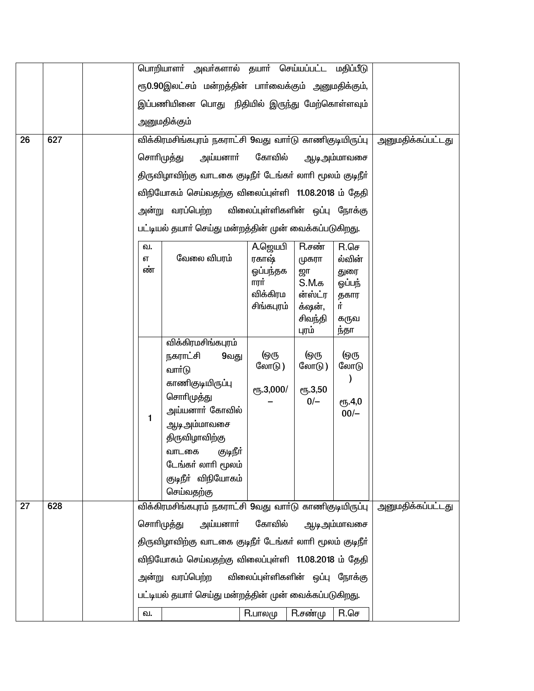|                 |     |    | பொறியாளா் அவா்களால் தயாா் செய்யப்பட்ட மதிப்பீடு           |                  |                                |                  |                          |
|-----------------|-----|----|-----------------------------------------------------------|------------------|--------------------------------|------------------|--------------------------|
|                 |     |    | ரூ0.90இலட்சம் மன்றத்தின் பார்வைக்கும் அனுமதிக்கும்,       |                  |                                |                  |                          |
|                 |     |    | இப்பணியினை பொது நிதியில் இருந்து மேற்கொள்ளவும்            |                  |                                |                  |                          |
|                 |     |    | அனுமதிக்கும்                                              |                  |                                |                  |                          |
| $\overline{26}$ | 627 |    | விக்கிரமசிங்கபுரம் நகராட்சி 9வது வாா்டு காணிகுடியிருப்பு  |                  |                                |                  | <u>அனுமதிக்கப்பட்டது</u> |
|                 |     |    | சொரிமுத்து<br>அய்யனாா்                                    |                  |                                |                  |                          |
|                 |     |    | திருவிழாவிற்கு வாடகை குடிநீா் டேங்கா் லாாி மூலம் குடிநீா் |                  |                                |                  |                          |
|                 |     |    | விநியோகம் செய்வதற்கு விலைப்புள்ளி 11.08.2018 ம் தேதி      |                  |                                |                  |                          |
|                 |     |    | அன்று வரப்பெற்ற                                           |                  | விலைப்புள்ளிகளின் ஒப்பு நோக்கு |                  |                          |
|                 |     |    | பட்டியல் தயாா் செய்து மன்றத்தின் முன் வைக்கப்படுகிறது.    |                  |                                |                  |                          |
|                 |     | வ. |                                                           | A.ஜெயபி          | R.சண்                          | $R.\mathsf{GJ}$  |                          |
|                 |     | எ  | வேலை விபரம்                                               | ரகாஷ்            | முகரா                          | ல்வின்           |                          |
|                 |     | ண் |                                                           | ஓப்பந்தக         | ஜா                             | துரை             |                          |
|                 |     |    |                                                           | ாரர்<br>விக்கிரம | $S.M.\sigma$<br>ன்ஸ்ட்ர        | ஒப்பந்<br>தகார   |                          |
|                 |     |    |                                                           | சிங்கபுரம்       | க்ஷன்,                         | Ļ.               |                          |
|                 |     |    |                                                           |                  | சிவந்தி                        | கருவ             |                          |
|                 |     |    | விக்கிரமசிங்கபுரம்                                        |                  | புரம்                          | ந்தா             |                          |
|                 |     |    | நகராட்சி<br>9வது                                          | <u> (ஒரு</u>     | <u> (ஒரு</u>                   | <u> (ஒரு</u>     |                          |
|                 |     |    | வாா்டு                                                    | லோடு )           | லோடு )                         | லோடு             |                          |
|                 |     |    | காணிகுடியிருப்பு                                          | ரூ.3,000/        | ரு.3,50                        |                  |                          |
|                 |     |    | சொரிமுத்து                                                |                  | $0/-$                          | <b>е</b> ҧ.4,0   |                          |
|                 |     | 1  | அய்யனாா் கோவில்                                           |                  |                                | $00/-$           |                          |
|                 |     |    | <u>ஆடி அ</u> ம்மாவசை<br>திருவிழாவிற்கு                    |                  |                                |                  |                          |
|                 |     |    | வாடகை குடிநீா்                                            |                  |                                |                  |                          |
|                 |     |    | டேங்கர் லாரி மூலம்                                        |                  |                                |                  |                          |
|                 |     |    | குடிநீா் விநியோகம்                                        |                  |                                |                  |                          |
|                 |     |    | செய்வதற்கு                                                |                  |                                |                  |                          |
| 27              | 628 |    | விக்கிரமசிங்கபுரம் நகராட்சி 9வது வார்டு காணிகுடியிருப்பு  |                  |                                |                  | அனுமதிக்கப்பட்டது        |
|                 |     |    | சொரிமுத்து<br>அய்யனாா்                                    | கோவில்           |                                | ஆடி அம்மாவசை     |                          |
|                 |     |    | திருவிழாவிற்கு வாடகை குடிநீர் டேங்கர் லாரி மூலம் குடிநீர் |                  |                                |                  |                          |
|                 |     |    | விநியோகம் செய்வதற்கு விலைப்புள்ளி 11.08.2018 ம் தேதி      |                  |                                |                  |                          |
|                 |     |    | அன்று வரப்பெற்ற                                           |                  | விலைப்புள்ளிகளின் ஒப்பு நோக்கு |                  |                          |
|                 |     |    | பட்டியல் தயாா் செய்து மன்றத்தின் முன் வைக்கப்படுகிறது.    |                  |                                |                  |                          |
|                 |     | ഖ. |                                                           | R.பாலமு          | $R.\vec{\theta}$ ண்மு          | $R.\mathsf{G}$ ச |                          |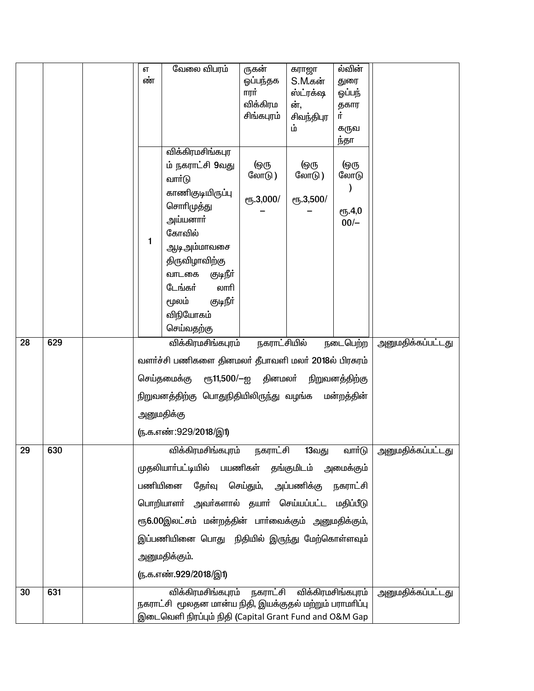|    |     | எ  | வேலை விபரம்                                             | ருகன்                                | கராஜா                       | ல்வின்         |                       |
|----|-----|----|---------------------------------------------------------|--------------------------------------|-----------------------------|----------------|-----------------------|
|    |     | ண் |                                                         | ஓப்பந்தக                             | S.M.கன்                     | துரை           |                       |
|    |     |    |                                                         | ாரர்                                 | ஸ்ட்ரக்ஷ                    | ஒப்பந்         |                       |
|    |     |    |                                                         | விக்கிரம<br>சிங்கபுரம்               | ன்,                         | தகார<br>ij.    |                       |
|    |     |    |                                                         |                                      | சிவந்திபுர<br>ம்            | கருவ           |                       |
|    |     |    |                                                         |                                      |                             | ந்தா           |                       |
|    |     |    | விக்கிரமசிங்கபுர                                        |                                      |                             |                |                       |
|    |     |    | ம் நகராட்சி 9வது                                        | டுரு                                 | டுரு                        | <u> (ஒரு</u>   |                       |
|    |     |    | வார்டு                                                  | லோடு)                                | லோடு)                       | லோடு           |                       |
|    |     |    | காணிகுடியிருப்பு                                        | <b>е</b> ђ.3,000/                    | ரு.3,500/                   |                |                       |
|    |     |    | சொரிமுத்து                                              |                                      |                             | ரூ.4,0         |                       |
|    |     |    | அய்யனாா்                                                |                                      |                             | $00/-$         |                       |
|    |     | 1  | கோவில்                                                  |                                      |                             |                |                       |
|    |     |    | ஆடிஅம்மாவசை                                             |                                      |                             |                |                       |
|    |     |    | திருவிழாவிற்கு                                          |                                      |                             |                |                       |
|    |     |    | வாடகை<br>குடிநீர்                                       |                                      |                             |                |                       |
|    |     |    | டேங்கர்<br>லாரி                                         |                                      |                             |                |                       |
|    |     |    | குடிநீா்<br>மூலம்                                       |                                      |                             |                |                       |
|    |     |    | விநியோகம்                                               |                                      |                             |                |                       |
| 28 | 629 |    | செய்வதற்கு                                              | நகராட்சியில்                         |                             |                |                       |
|    |     |    | விக்கிரமசிங்கபுரம்                                      |                                      |                             | நடைபெற்ற       | அனுமதிக்கப்பட்டது     |
|    |     |    | வளர்ச்சி பணிகளை தினமலர் தீபாவளி மலர் 2018ல் பிரசுரம்    |                                      |                             |                |                       |
|    |     |    | செய்தமைக்கு                                             | ரூ11,500/—ஐ தினமலா்                  |                             | நிறுவனத்திற்கு |                       |
|    |     |    | நிறுவனத்திற்கு பொதுநிதியிலிருந்து வழங்க                 |                                      |                             | மன்றத்தின்     |                       |
|    |     |    | அனுமதிக்கு                                              |                                      |                             |                |                       |
|    |     |    | <u>(ந</u> .க.எண்:929/2018/இ1)                           |                                      |                             |                |                       |
| 29 | 630 |    | விக்கிரமசிங்கபுரம்                                      | நகராட்சி                             | 13வது                       | வார்டு         | அனுமதிக்கப்பட்டது<br> |
|    |     |    | முதலியாா்பட்டியில் பயணிகள் தங்குமிடம் அமைக்கும்         |                                      |                             |                |                       |
|    |     |    | பணியினை                                                 | தேர்வு செய்தும், அப்பணிக்கு நகராட்சி |                             |                |                       |
|    |     |    | பொறியாளா் அவா்களால் தயாா் செய்யப்பட்ட மதிப்பீடு         |                                      |                             |                |                       |
|    |     |    | ரூ6.00இலட்சம் மன்றத்தின் பார்வைக்கும் அனுமதிக்கும்,     |                                      |                             |                |                       |
|    |     |    | இப்பணியினை பொது நிதியில் இருந்து மேற்கொள்ளவும்          |                                      |                             |                |                       |
|    |     |    | அனுமதிக்கும்.                                           |                                      |                             |                |                       |
|    |     |    | <u>ரு.க.எண்.929/2018/இ1)</u>                            |                                      |                             |                |                       |
| 30 | 631 |    | விக்கிரமசிங்கபுரம்                                      |                                      | நகராட்சி விக்கிரமசிங்கபுரம் |                | அனுமதிக்கப்பட்டது     |
|    |     |    | நகராட்சி மூலதன மான்ய நிதி, இயக்குதல் மற்றும் பராமரிப்பு |                                      |                             |                |                       |
|    |     |    | இடைவெளி நிரப்பும் நிதி (Capital Grant Fund and O&M Gap  |                                      |                             |                |                       |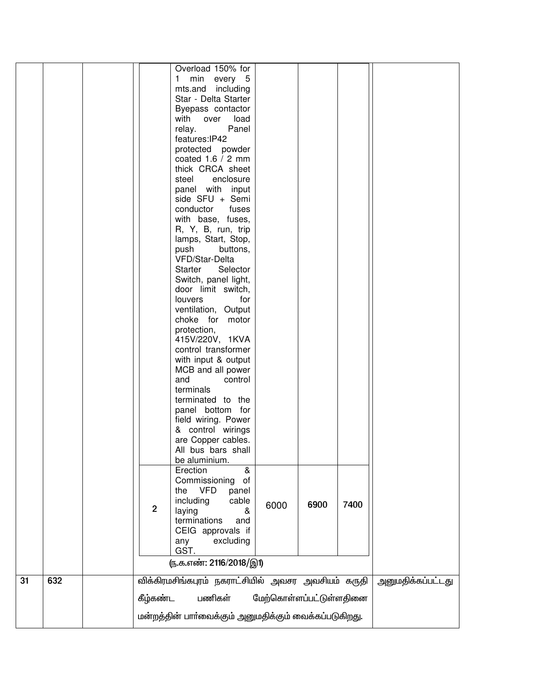|    |     |                                                       | Overload 150% for                                  |                         |      |      |                   |
|----|-----|-------------------------------------------------------|----------------------------------------------------|-------------------------|------|------|-------------------|
|    |     |                                                       | min every 5<br>1.                                  |                         |      |      |                   |
|    |     |                                                       | mts.and including                                  |                         |      |      |                   |
|    |     |                                                       | Star - Delta Starter                               |                         |      |      |                   |
|    |     |                                                       | Byepass contactor                                  |                         |      |      |                   |
|    |     |                                                       | with<br>load<br>over                               |                         |      |      |                   |
|    |     |                                                       | Panel<br>relay.                                    |                         |      |      |                   |
|    |     |                                                       | features: IP42                                     |                         |      |      |                   |
|    |     |                                                       | protected powder                                   |                         |      |      |                   |
|    |     |                                                       | coated $1.6 / 2$ mm                                |                         |      |      |                   |
|    |     |                                                       | thick CRCA sheet                                   |                         |      |      |                   |
|    |     |                                                       | enclosure<br>steel                                 |                         |      |      |                   |
|    |     |                                                       | panel with input                                   |                         |      |      |                   |
|    |     |                                                       | side SFU + Semi                                    |                         |      |      |                   |
|    |     |                                                       | conductor<br>fuses                                 |                         |      |      |                   |
|    |     |                                                       | with base, fuses,                                  |                         |      |      |                   |
|    |     |                                                       | R, Y, B, run, trip                                 |                         |      |      |                   |
|    |     |                                                       | lamps, Start, Stop,                                |                         |      |      |                   |
|    |     |                                                       | push<br>buttons,                                   |                         |      |      |                   |
|    |     |                                                       | VFD/Star-Delta                                     |                         |      |      |                   |
|    |     |                                                       | <b>Starter</b><br>Selector                         |                         |      |      |                   |
|    |     |                                                       | Switch, panel light,                               |                         |      |      |                   |
|    |     |                                                       | door limit switch,                                 |                         |      |      |                   |
|    |     |                                                       | louvers<br>for                                     |                         |      |      |                   |
|    |     |                                                       | ventilation, Output                                |                         |      |      |                   |
|    |     |                                                       | choke for motor                                    |                         |      |      |                   |
|    |     |                                                       | protection,                                        |                         |      |      |                   |
|    |     |                                                       | 415V/220V, 1KVA                                    |                         |      |      |                   |
|    |     |                                                       | control transformer                                |                         |      |      |                   |
|    |     |                                                       | with input & output                                |                         |      |      |                   |
|    |     |                                                       | MCB and all power                                  |                         |      |      |                   |
|    |     |                                                       | and<br>control                                     |                         |      |      |                   |
|    |     |                                                       | terminals                                          |                         |      |      |                   |
|    |     |                                                       | terminated to the                                  |                         |      |      |                   |
|    |     |                                                       | panel bottom for                                   |                         |      |      |                   |
|    |     |                                                       | field wiring. Power                                |                         |      |      |                   |
|    |     |                                                       | & control wirings                                  |                         |      |      |                   |
|    |     |                                                       | are Copper cables.                                 |                         |      |      |                   |
|    |     |                                                       | All bus bars shall                                 |                         |      |      |                   |
|    |     |                                                       | be aluminium.                                      |                         |      |      |                   |
|    |     |                                                       | Erection<br>&                                      |                         |      |      |                   |
|    |     |                                                       | Commissioning<br>of                                |                         |      |      |                   |
|    |     |                                                       | the VFD<br>panel                                   |                         |      |      |                   |
|    |     |                                                       | including<br>cable                                 |                         |      | 7400 |                   |
|    |     | $\overline{2}$                                        | laying<br>&                                        | 6000                    | 6900 |      |                   |
|    |     |                                                       | terminations<br>and                                |                         |      |      |                   |
|    |     |                                                       | CEIG approvals if                                  |                         |      |      |                   |
|    |     |                                                       | excluding<br>any                                   |                         |      |      |                   |
|    |     |                                                       | GST.                                               |                         |      |      |                   |
|    |     |                                                       | ரு.க.எண்: 2116/2018/இ1)                            |                         |      |      |                   |
| 31 | 632 |                                                       | விக்கிரமசிங்கபுரம் நகராட்சியில் அவசர அவசியம் கருதி |                         |      |      | அனுமதிக்கப்பட்டது |
|    |     | கீழ்கண்ட                                              | பணிகள்                                             | மேற்கொள்ளப்பட்டுள்ளதினை |      |      |                   |
|    |     | மன்றத்தின் பார்வைக்கும் அனுமதிக்கும் வைக்கப்படுகிறது. |                                                    |                         |      |      |                   |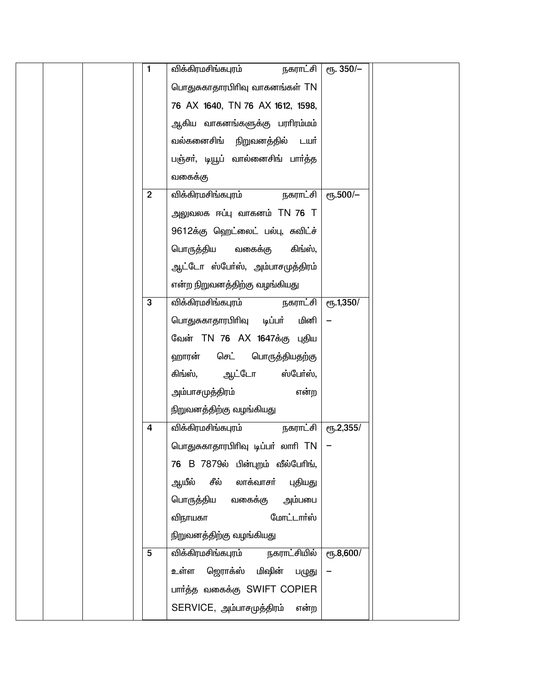| 1              | விக்கிரமசிங்கபுரம்<br>நகராட்சி    | $\overline{e_1E}$ . 350/- |  |
|----------------|-----------------------------------|---------------------------|--|
|                | பொதுசுகாதாரபிரிவு வாகனங்கள் TN    |                           |  |
|                | 76 AX 1640, TN 76 AX 1612, 1598,  |                           |  |
|                | ஆகிய வாகனங்களுக்கு பராிரம்மம்     |                           |  |
|                | வல்கனைசிங் நிறுவனத்தில் டயா்      |                           |  |
|                | பஞ்சா், டியூப் வால்னைசிங் பாா்த்த |                           |  |
|                | வகைக்கு                           |                           |  |
| $\overline{2}$ | விக்கிரமசிங்கபுரம்<br>நகராட்சி    | $e$ гђ.500/-              |  |
|                | அலுவலக ஈப்பு வாகனம் TN 76 T       |                           |  |
|                | 9612க்கு ஹெட்லைட் பல்பு, சுவிட்ச் |                           |  |
|                | பொருத்திய வகைக்கு<br>கிங்ஸ்,      |                           |  |
|                | ஆட்டோ ஸ்பேர்ஸ், அம்பாசமுத்திரம்   |                           |  |
|                | என்ற நிறுவனத்திற்கு வழங்கியது     |                           |  |
| 3              | விக்கிரமசிங்கபுரம்<br>நகராட்சி    | $e$ гђ. 1,350/            |  |
|                | பொதுசுகாதாரபிரிவு டிப்பா்<br>மினி |                           |  |
|                | வேன் TN 76 AX 1647க்கு புதிய      |                           |  |
|                | ஹாரன்<br>செட் பொருத்தியதற்கு      |                           |  |
|                | கிங்ஸ், ஆட்டோ<br>ஸ்பேர்ஸ்,        |                           |  |
|                | அம்பாசமுத்திரம்<br>என்ற           |                           |  |
|                | நிறுவனத்திற்கு வழங்கியது          |                           |  |
| 4              | விக்கிரமசிங்கபுரம்<br>நகராட்சி    | $e$ <sup>0</sup> 5.2,355/ |  |
|                | பொதுசுகாதாரபிரிவு டிப்பர் லாரி TN |                           |  |
|                | 76 B 7879ல் பின்புறம் வீல்பேரிங், |                           |  |
|                | ஆயீல் சீல் லாக்வாசா்<br>புதியது   |                           |  |
|                | பொருத்திய வகைக்கு அம்பபை          |                           |  |
|                | மோட்டார்ஸ்<br>விநாயகா             |                           |  |
|                | நிறுவனத்திற்கு வழங்கியது          |                           |  |
| 5              | விக்கிரமசிங்கபுரம் நகராட்சியில்   | (15.8,600)                |  |
|                | உள்ள ஜொாக்ஸ் மிஷின் பழுது         |                           |  |
|                | பார்த்த வகைக்கு SWIFT COPIER      |                           |  |
|                | SERVICE, அம்பாசமுத்திரம்<br>என்ற  |                           |  |